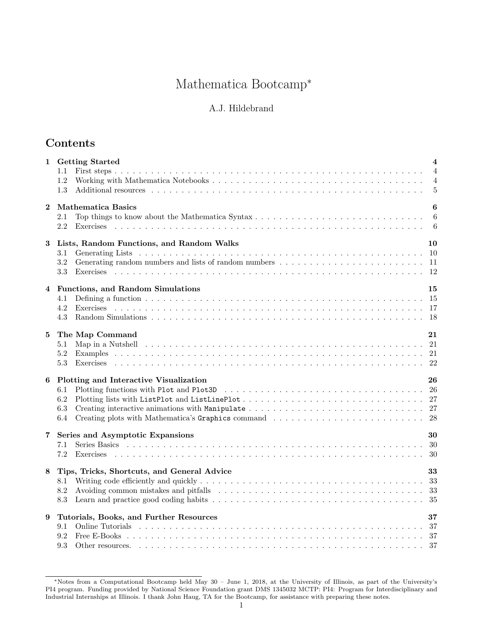# Mathematica Bootcamp<sup>∗</sup>

## A.J. Hildebrand

## Contents

| 1                       | <b>Getting Started</b><br>1.1<br>1.2<br>1.3                                                                                                                                                                                                                                                    | $\overline{\mathbf{4}}$<br>$\overline{4}$<br>$\overline{4}$<br>$\overline{5}$ |
|-------------------------|------------------------------------------------------------------------------------------------------------------------------------------------------------------------------------------------------------------------------------------------------------------------------------------------|-------------------------------------------------------------------------------|
| $\bf{2}$                | <b>Mathematica Basics</b><br>2.1<br>2.2<br>Exercises                                                                                                                                                                                                                                           | $\boldsymbol{6}$<br>$\boldsymbol{6}$<br>6                                     |
| 3                       | Lists, Random Functions, and Random Walks<br>3.1<br>3.2<br>3.3<br>Exercises                                                                                                                                                                                                                    | 10                                                                            |
| $\overline{\mathbf{4}}$ | Functions, and Random Simulations<br>4.1<br>4.2<br>4.3                                                                                                                                                                                                                                         | 15                                                                            |
| 5                       | The Map Command<br>Map in a Nutshell experience of the contract of the contract of the contract of the contract of the contract of $21$<br>5.1<br>5.2<br>5.3                                                                                                                                   | 21                                                                            |
| 6                       | Plotting and Interactive Visualization<br>6.1<br>6.2<br>6.3<br>6.4                                                                                                                                                                                                                             | 26                                                                            |
| 7                       | Series and Asymptotic Expansions<br>7.1<br>7.2<br>Exercises                                                                                                                                                                                                                                    | 30                                                                            |
| $\bf8$                  | Tips, Tricks, Shortcuts, and General Advice<br>8.1<br>8.2<br>8.3                                                                                                                                                                                                                               | 33                                                                            |
| 9                       | Tutorials, Books, and Further Resources<br>Online Tutorials (a) and a series are contained as a series of the series of the series of the series of the Tutorian series of the Tutorian series of the Tutorian series of the Tutorian series of the Tutorian series of th<br>9.1<br>9.2<br>9.3 | 37                                                                            |

<sup>∗</sup>Notes from a Computational Bootcamp held May 30 – June 1, 2018, at the University of Illinois, as part of the University's PI4 program. Funding provided by National Science Foundation grant DMS 1345032 MCTP: PI4: Program for Interdisciplinary and Industrial Internships at Illinois. I thank John Haug, TA for the Bootcamp, for assistance with preparing these notes.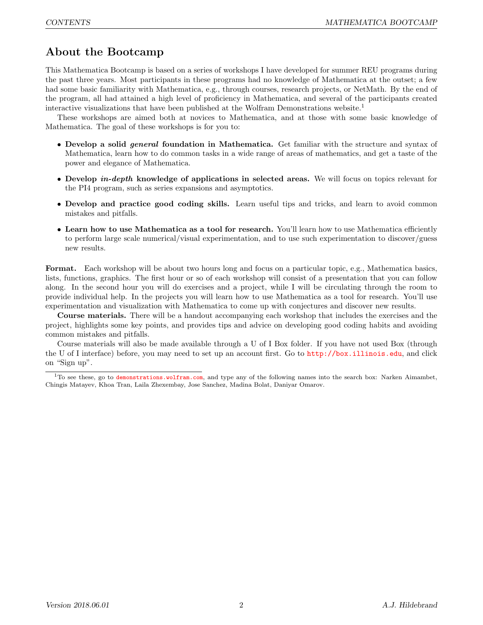## About the Bootcamp

This Mathematica Bootcamp is based on a series of workshops I have developed for summer REU programs during the past three years. Most participants in these programs had no knowledge of Mathematica at the outset; a few had some basic familiarity with Mathematica, e.g., through courses, research projects, or NetMath. By the end of the program, all had attained a high level of proficiency in Mathematica, and several of the participants created interactive visualizations that have been published at the Wolfram Demonstrations website.<sup>1</sup>

These workshops are aimed both at novices to Mathematica, and at those with some basic knowledge of Mathematica. The goal of these workshops is for you to:

- Develop a solid *general* foundation in Mathematica. Get familiar with the structure and syntax of Mathematica, learn how to do common tasks in a wide range of areas of mathematics, and get a taste of the power and elegance of Mathematica.
- Develop *in-depth* knowledge of applications in selected areas. We will focus on topics relevant for the PI4 program, such as series expansions and asymptotics.
- Develop and practice good coding skills. Learn useful tips and tricks, and learn to avoid common mistakes and pitfalls.
- Learn how to use Mathematica as a tool for research. You'll learn how to use Mathematica efficiently to perform large scale numerical/visual experimentation, and to use such experimentation to discover/guess new results.

Format. Each workshop will be about two hours long and focus on a particular topic, e.g., Mathematica basics, lists, functions, graphics. The first hour or so of each workshop will consist of a presentation that you can follow along. In the second hour you will do exercises and a project, while I will be circulating through the room to provide individual help. In the projects you will learn how to use Mathematica as a tool for research. You'll use experimentation and visualization with Mathematica to come up with conjectures and discover new results.

Course materials. There will be a handout accompanying each workshop that includes the exercises and the project, highlights some key points, and provides tips and advice on developing good coding habits and avoiding common mistakes and pitfalls.

Course materials will also be made available through a U of I Box folder. If you have not used Box (through the U of I interface) before, you may need to set up an account first. Go to http://box.illinois.edu, and click on "Sign up".

 $1$ To see these, go to demonstrations.wolfram.com, and type any of the following names into the search box: Narken Aimambet, Chingis Matayev, Khoa Tran, Laila Zhexembay, Jose Sanchez, Madina Bolat, Daniyar Omarov.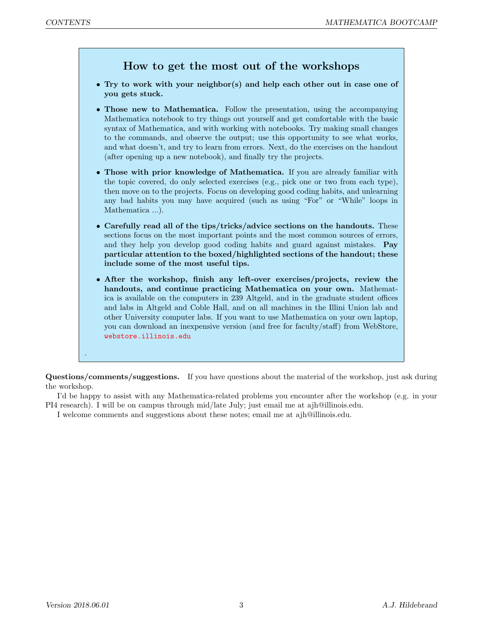## How to get the most out of the workshops

- Try to work with your neighbor(s) and help each other out in case one of you gets stuck.
- Those new to Mathematica. Follow the presentation, using the accompanying Mathematica notebook to try things out yourself and get comfortable with the basic syntax of Mathematica, and with working with notebooks. Try making small changes to the commands, and observe the output; use this opportunity to see what works, and what doesn't, and try to learn from errors. Next, do the exercises on the handout (after opening up a new notebook), and finally try the projects.
- Those with prior knowledge of Mathematica. If you are already familiar with the topic covered, do only selected exercises (e.g., pick one or two from each type), then move on to the projects. Focus on developing good coding habits, and unlearning any bad habits you may have acquired (such as using "For" or "While" loops in Mathematica ...).
- Carefully read all of the tips/tricks/advice sections on the handouts. These sections focus on the most important points and the most common sources of errors, and they help you develop good coding habits and guard against mistakes. Pay particular attention to the boxed/highlighted sections of the handout; these include some of the most useful tips.
- After the workshop, finish any left-over exercises/projects, review the handouts, and continue practicing Mathematica on your own. Mathematica is available on the computers in 239 Altgeld, and in the graduate student offices and labs in Altgeld and Coble Hall, and on all machines in the Illini Union lab and other University computer labs. If you want to use Mathematica on your own laptop, you can download an inexpensive version (and free for faculty/staff) from WebStore, webstore.illinois.edu

Questions/comments/suggestions. If you have questions about the material of the workshop, just ask during the workshop.

I'd be happy to assist with any Mathematica-related problems you encounter after the workshop (e.g. in your PI4 research). I will be on campus through mid/late July; just email me at ajh@illinois.edu.

I welcome comments and suggestions about these notes; email me at ajh@illinois.edu.

.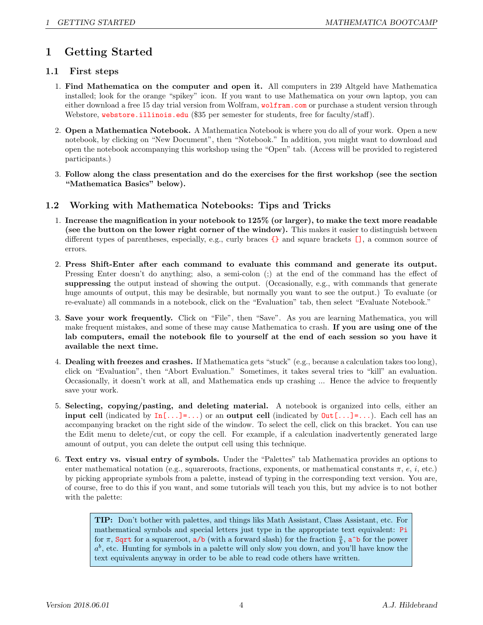## 1 Getting Started

#### 1.1 First steps

- 1. Find Mathematica on the computer and open it. All computers in 239 Altgeld have Mathematica installed; look for the orange "spikey" icon. If you want to use Mathematica on your own laptop, you can either download a free 15 day trial version from Wolfram, wolfram.com or purchase a student version through Webstore, webstore.illinois.edu (\$35 per semester for students, free for faculty/staff).
- 2. Open a Mathematica Notebook. A Mathematica Notebook is where you do all of your work. Open a new notebook, by clicking on "New Document", then "Notebook." In addition, you might want to download and open the notebook accompanying this workshop using the "Open" tab. (Access will be provided to registered participants.)
- 3. Follow along the class presentation and do the exercises for the first workshop (see the section "Mathematica Basics" below).

#### 1.2 Working with Mathematica Notebooks: Tips and Tricks

- 1. Increase the magnification in your notebook to 125% (or larger), to make the text more readable (see the button on the lower right corner of the window). This makes it easier to distinguish between different types of parentheses, especially, e.g., curly braces  $\{\}$  and square brackets  $\Box$ , a common source of errors.
- 2. Press Shift-Enter after each command to evaluate this command and generate its output. Pressing Enter doesn't do anything; also, a semi-colon (;) at the end of the command has the effect of suppressing the output instead of showing the output. (Occasionally, e.g., with commands that generate huge amounts of output, this may be desirable, but normally you want to see the output.) To evaluate (or re-evaluate) all commands in a notebook, click on the "Evaluation" tab, then select "Evaluate Notebook."
- 3. Save your work frequently. Click on "File", then "Save". As you are learning Mathematica, you will make frequent mistakes, and some of these may cause Mathematica to crash. If you are using one of the lab computers, email the notebook file to yourself at the end of each session so you have it available the next time.
- 4. Dealing with freezes and crashes. If Mathematica gets "stuck" (e.g., because a calculation takes too long), click on "Evaluation", then "Abort Evaluation." Sometimes, it takes several tries to "kill" an evaluation. Occasionally, it doesn't work at all, and Mathematica ends up crashing ... Hence the advice to frequently save your work.
- 5. Selecting, copying/pasting, and deleting material. A notebook is organized into cells, either an **input cell** (indicated by  $In[...]=...$ ) or an **output cell** (indicated by  $Out[...]=...$ ). Each cell has an accompanying bracket on the right side of the window. To select the cell, click on this bracket. You can use the Edit menu to delete/cut, or copy the cell. For example, if a calculation inadvertently generated large amount of output, you can delete the output cell using this technique.
- 6. Text entry vs. visual entry of symbols. Under the "Palettes" tab Mathematica provides an options to enter mathematical notation (e.g., squareroots, fractions, exponents, or mathematical constants  $\pi$ ,  $e$ ,  $i$ , etc.) by picking appropriate symbols from a palette, instead of typing in the corresponding text version. You are, of course, free to do this if you want, and some tutorials will teach you this, but my advice is to not bother with the palette:

TIP: Don't bother with palettes, and things liks Math Assistant, Class Assistant, etc. For mathematical symbols and special letters just type in the appropriate text equivalent: Pi for  $\pi$ , Sqrt for a squareroot, a/b (with a forward slash) for the fraction  $\frac{a}{b}$ , a<sup>n</sup>b for the power  $a^b$ , etc. Hunting for symbols in a palette will only slow you down, and you'll have know the text equivalents anyway in order to be able to read code others have written.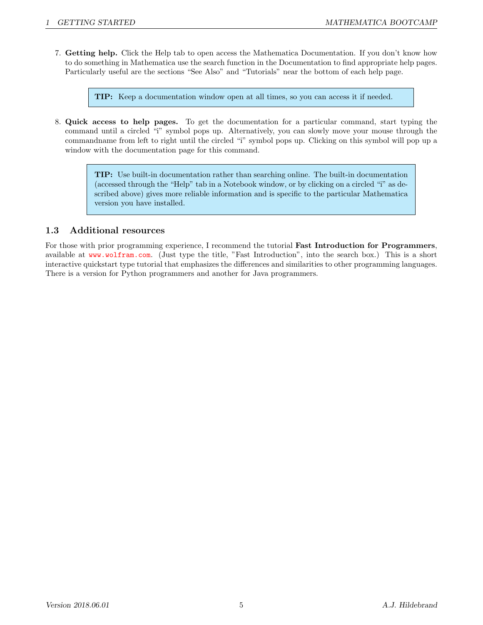7. Getting help. Click the Help tab to open access the Mathematica Documentation. If you don't know how to do something in Mathematica use the search function in the Documentation to find appropriate help pages. Particularly useful are the sections "See Also" and "Tutorials" near the bottom of each help page.

TIP: Keep a documentation window open at all times, so you can access it if needed.

8. Quick access to help pages. To get the documentation for a particular command, start typing the command until a circled "i" symbol pops up. Alternatively, you can slowly move your mouse through the commandname from left to right until the circled "i" symbol pops up. Clicking on this symbol will pop up a window with the documentation page for this command.

> TIP: Use built-in documentation rather than searching online. The built-in documentation (accessed through the "Help" tab in a Notebook window, or by clicking on a circled "i" as described above) gives more reliable information and is specific to the particular Mathematica version you have installed.

#### 1.3 Additional resources

For those with prior programming experience, I recommend the tutorial **Fast Introduction for Programmers**, available at www.wolfram.com. (Just type the title, "Fast Introduction", into the search box.) This is a short interactive quickstart type tutorial that emphasizes the differences and similarities to other programming languages. There is a version for Python programmers and another for Java programmers.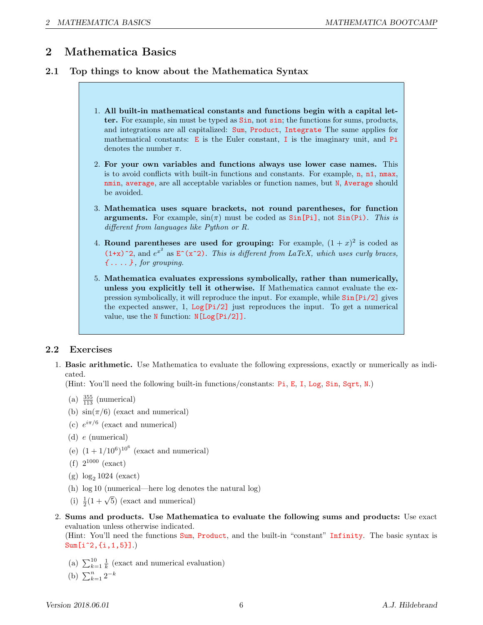## 2 Mathematica Basics

#### 2.1 Top things to know about the Mathematica Syntax

- 1. All built-in mathematical constants and functions begin with a capital letter. For example, sin must be typed as Sin, not sin; the functions for sums, products, and integrations are all capitalized: Sum, Product, Integrate The same applies for mathematical constants: E is the Euler constant, I is the imaginary unit, and Pi denotes the number  $\pi$ .
- 2. For your own variables and functions always use lower case names. This is to avoid conflicts with built-in functions and constants. For example, n, n1, nmax, nmin, average, are all acceptable variables or function names, but N, Average should be avoided.
- 3. Mathematica uses square brackets, not round parentheses, for function arguments. For example,  $sin(\pi)$  must be coded as  $Sin[Pi]$ , not  $Sin(Pi)$ . This is different from languages like Python or R.
- 4. Round parentheses are used for grouping: For example,  $(1+x)^2$  is coded as  $(1+x)^2$ , and  $e^{x^2}$  as  $E^*(x^2)$ . This is different from LaTeX, which uses curly braces,  ${f \dots}$ , for grouping.
- 5. Mathematica evaluates expressions symbolically, rather than numerically, unless you explicitly tell it otherwise. If Mathematica cannot evaluate the expression symbolically, it will reproduce the input. For example, while Sin[Pi/2] gives the expected answer, 1, Log[Pi/2] just reproduces the input. To get a numerical value, use the N function: N[Log[Pi/2]].

### 2.2 Exercises

1. Basic arithmetic. Use Mathematica to evaluate the following expressions, exactly or numerically as indicated.

(Hint: You'll need the following built-in functions/constants: Pi, E, I, Log, Sin, Sqrt, N.)

- (a)  $\frac{355}{113}$  (numerical)
- (b)  $\sin(\pi/6)$  (exact and numerical)
- (c)  $e^{i\pi/6}$  (exact and numerical)
- (d) e (numerical)
- (e)  $(1+1/10^6)^{10^6}$  (exact and numerical)
- $(f)$   $2^{1000}$  (exact)
- (g)  $\log_2 1024$  (exact)
- (h) log 10 (numerical—here log denotes the natural log)
- (i)  $\frac{1}{2}(1+\sqrt{5})$  (exact and numerical)
- 2. Sums and products. Use Mathematica to evaluate the following sums and products: Use exact evaluation unless otherwise indicated.

(Hint: You'll need the functions Sum, Product, and the built-in "constant" Infinity. The basic syntax is Sum[i^2,{i,1,5}].)

- (a)  $\sum_{k=1}^{10} \frac{1}{k}$  (exact and numerical evaluation)
- (b)  $\sum_{k=1}^{n} 2^{-k}$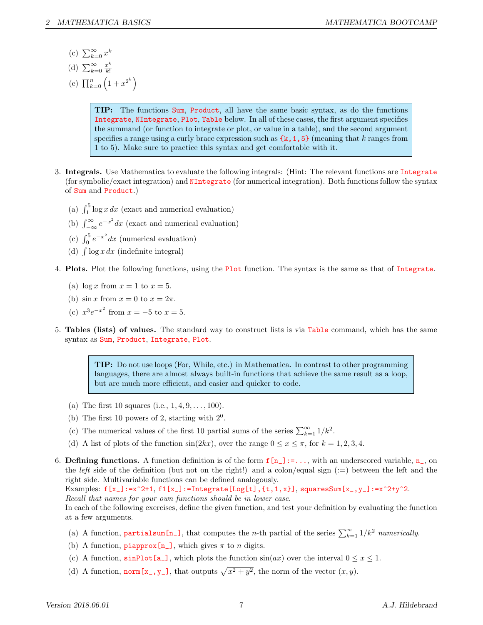- (c)  $\sum_{k=0}^{\infty} x^k$
- (d)  $\sum_{k=0}^{\infty} \frac{x^k}{k!}$ k!
- (e)  $\prod_{k=0}^{n} (1+x^{2^k})$

TIP: The functions Sum, Product, all have the same basic syntax, as do the functions Integrate, NIntegrate, Plot, Table below. In all of these cases, the first argument specifies the summand (or function to integrate or plot, or value in a table), and the second argument specifies a range using a curly brace expression such as  $\{k, 1, 5\}$  (meaning that k ranges from 1 to 5). Make sure to practice this syntax and get comfortable with it.

- 3. Integrals. Use Mathematica to evaluate the following integrals: (Hint: The relevant functions are Integrate (for symbolic/exact integration) and NIntegrate (for numerical integration). Both functions follow the syntax of Sum and Product.)
	- (a)  $\int_1^5 \log x \, dx$  (exact and numerical evaluation)
	- (b)  $\int_{-\infty}^{\infty} e^{-x^2} dx$  (exact and numerical evaluation)
	- (c)  $\int_0^5 e^{-x^2} dx$  (numerical evaluation)
	- (d)  $\int \log x dx$  (indefinite integral)
- 4. Plots. Plot the following functions, using the Plot function. The syntax is the same as that of Integrate.
	- (a)  $\log x$  from  $x = 1$  to  $x = 5$ .
	- (b)  $\sin x$  from  $x = 0$  to  $x = 2\pi$ .
	- (c)  $x^3 e^{-x^2}$  from  $x = -5$  to  $x = 5$ .
- 5. Tables (lists) of values. The standard way to construct lists is via Table command, which has the same syntax as Sum, Product, Integrate, Plot.

TIP: Do not use loops (For, While, etc.) in Mathematica. In contrast to other programming languages, there are almost always built-in functions that achieve the same result as a loop, but are much more efficient, and easier and quicker to code.

- (a) The first 10 squares (i.e.,  $1, 4, 9, \ldots, 100$ ).
- (b) The first 10 powers of 2, starting with  $2^0$ .
- (c) The numerical values of the first 10 partial sums of the series  $\sum_{k=1}^{\infty} 1/k^2$ .
- (d) A list of plots of the function  $sin(2kx)$ , over the range  $0 \le x \le \pi$ , for  $k = 1, 2, 3, 4$ .
- 6. Defining functions. A function definition is of the form  $f[n_]:=\ldots$ , with an underscored variable,  $n_$ , on the *left* side of the definition (but not on the right!) and a colon/equal sign  $(:=)$  between the left and the right side. Multivariable functions can be defined analogously.

Examples:  $f[x_]:=x^2+1$ ,  $f1[x_]:=Integrate[Log[t], {t, 1, x}]$ , squaresSum $[x_*,y_]:=x^2+y^2$ . Recall that names for your own functions should be in lower case.

In each of the following exercises, define the given function, and test your definition by evaluating the function at a few arguments.

- (a) A function, **partialsum**  $[n_$ ], that computes the *n*-th partial of the series  $\sum_{k=1}^{\infty} 1/k^2$  numerically.
- (b) A function,  $\mathbf{p}$  is approx  $[n_$ , which gives  $\pi$  to n digits.
- (c) A function,  $\sin\theta$  [a\_], which plots the function  $\sin(ax)$  over the interval  $0 \le x \le 1$ .
- (d) A function, norm  $[x_., y_$ ], that outputs  $\sqrt{x^2 + y^2}$ , the norm of the vector  $(x, y)$ .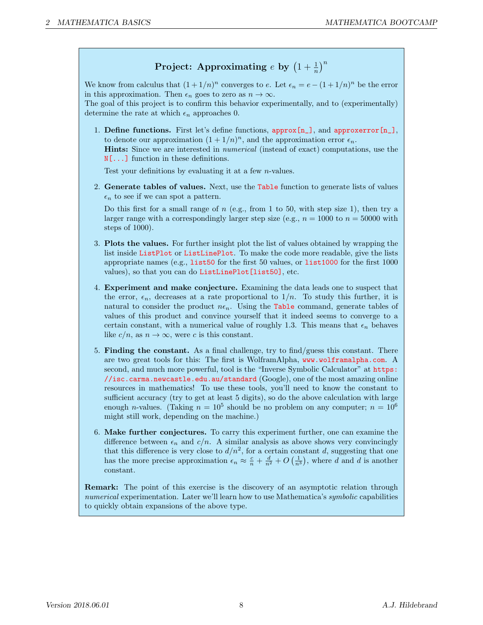# Project: Approximating  $e$  by  $\left(1+\frac{1}{n}\right)^n$

We know from calculus that  $(1+1/n)^n$  converges to e. Let  $\epsilon_n = e - (1+1/n)^n$  be the error in this approximation. Then  $\epsilon_n$  goes to zero as  $n \to \infty$ .

The goal of this project is to confirm this behavior experimentally, and to (experimentally) determine the rate at which  $\epsilon_n$  approaches 0.

1. Define functions. First let's define functions, approx[n\_], and approxerror[n\_], to denote our approximation  $(1 + 1/n)^n$ , and the approximation error  $\epsilon_n$ . Hints: Since we are interested in numerical (instead of exact) computations, use the N[...] function in these definitions.

Test your definitions by evaluating it at a few n-values.

2. Generate tables of values. Next, use the Table function to generate lists of values  $\epsilon_n$  to see if we can spot a pattern.

Do this first for a small range of  $n$  (e.g., from 1 to 50, with step size 1), then try a larger range with a correspondingly larger step size (e.g.,  $n = 1000$  to  $n = 50000$  with steps of 1000).

- 3. Plots the values. For further insight plot the list of values obtained by wrapping the list inside ListPlot or ListLinePlot. To make the code more readable, give the lists appropriate names (e.g., list50 for the first 50 values, or list1000 for the first 1000 values), so that you can do ListLinePlot[list50], etc.
- 4. Experiment and make conjecture. Examining the data leads one to suspect that the error,  $\epsilon_n$ , decreases at a rate proportional to  $1/n$ . To study this further, it is natural to consider the product  $n\epsilon_n$ . Using the Table command, generate tables of values of this product and convince yourself that it indeed seems to converge to a certain constant, with a numerical value of roughly 1.3. This means that  $\epsilon_n$  behaves like  $c/n$ , as  $n \to \infty$ , were c is this constant.
- 5. Finding the constant. As a final challenge, try to find/guess this constant. There are two great tools for this: The first is WolframAlpha, www.wolframalpha.com. A second, and much more powerful, tool is the "Inverse Symbolic Calculator" at https:  $//$ isc.carma.newcastle.edu.au/standard (Google), one of the most amazing online resources in mathematics! To use these tools, you'll need to know the constant to sufficient accuracy (try to get at least 5 digits), so do the above calculation with large enough *n*-values. (Taking  $n = 10^5$  should be no problem on any computer;  $n = 10^6$ might still work, depending on the machine.)
- 6. Make further conjectures. To carry this experiment further, one can examine the difference between  $\epsilon_n$  and  $c/n$ . A similar analysis as above shows very convincingly that this difference is very close to  $d/n^2$ , for a certain constant d, suggesting that one has the more precise approximation  $\epsilon_n \approx \frac{c}{n} + \frac{d}{n^2} + O\left(\frac{1}{n^3}\right)$ , where d and d is another constant.

Remark: The point of this exercise is the discovery of an asymptotic relation through numerical experimentation. Later we'll learn how to use Mathematica's *symbolic* capabilities to quickly obtain expansions of the above type.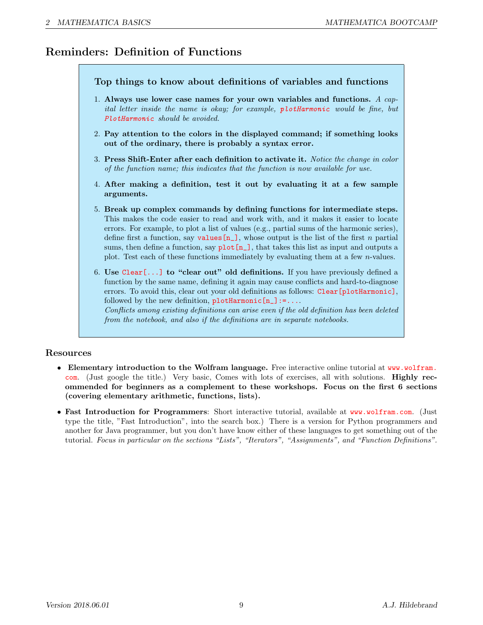## Reminders: Definition of Functions

Top things to know about definitions of variables and functions 1. Always use lower case names for your own variables and functions. A capital letter inside the name is okay; for example, plotHarmonic would be fine, but PlotHarmonic should be avoided. 2. Pay attention to the colors in the displayed command; if something looks out of the ordinary, there is probably a syntax error. 3. Press Shift-Enter after each definition to activate it. Notice the change in color of the function name; this indicates that the function is now available for use. 4. After making a definition, test it out by evaluating it at a few sample arguments. 5. Break up complex commands by defining functions for intermediate steps. This makes the code easier to read and work with, and it makes it easier to locate errors. For example, to plot a list of values (e.g., partial sums of the harmonic series), define first a function, say values  $[n_$ ], whose output is the list of the first n partial sums, then define a function, say  $plot[n_$ ], that takes this list as input and outputs a plot. Test each of these functions immediately by evaluating them at a few n-values. 6. Use Clear[...] to "clear out" old definitions. If you have previously defined a function by the same name, defining it again may cause conflicts and hard-to-diagnose errors. To avoid this, clear out your old definitions as follows: Clear [plotHarmonic], followed by the new definition,  $\n **plotHarmonic[n_]: = . . . .**\n$ Conflicts among existing definitions can arise even if the old definition has been deleted from the notebook, and also if the definitions are in separate notebooks.

#### Resources

- Elementary introduction to the Wolfram language. Free interactive online tutorial at www.wolfram. com. (Just google the title.) Very basic, Comes with lots of exercises, all with solutions. Highly recommended for beginners as a complement to these workshops. Focus on the first 6 sections (covering elementary arithmetic, functions, lists).
- Fast Introduction for Programmers: Short interactive tutorial, available at www.wolfram.com. (Just type the title, "Fast Introduction", into the search box.) There is a version for Python programmers and another for Java programmer, but you don't have know either of these languages to get something out of the tutorial. Focus in particular on the sections "Lists", "Iterators", "Assignments", and "Function Definitions".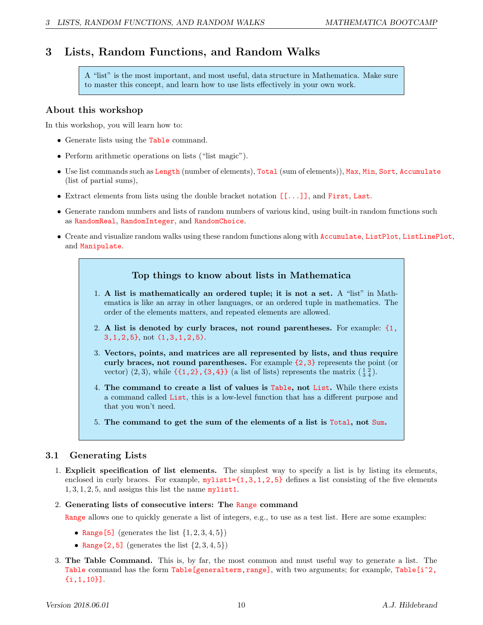## 3 Lists, Random Functions, and Random Walks

A "list" is the most important, and most useful, data structure in Mathematica. Make sure to master this concept, and learn how to use lists effectively in your own work.

#### About this workshop

In this workshop, you will learn how to:

- Generate lists using the Table command.
- Perform arithmetic operations on lists ("list magic").
- Use list commands such as Length (number of elements), Total (sum of elements)), Max, Min, Sort, Accumulate (list of partial sums),
- Extract elements from lists using the double bracket notation [[...]], and First, Last.
- Generate random numbers and lists of random numbers of various kind, using built-in random functions such as RandomReal, RandomInteger, and RandomChoice.
- Create and visualize random walks using these random functions along with Accumulate, ListPlot, ListLinePlot, and Manipulate.

#### Top things to know about lists in Mathematica

- 1. A list is mathematically an ordered tuple; it is not a set. A "list" in Mathematica is like an array in other languages, or an ordered tuple in mathematics. The order of the elements matters, and repeated elements are allowed.
- 2. A list is denoted by curly braces, not round parentheses. For example: {1, 3,1,2,5}, not (1,3,1,2,5).
- 3. Vectors, points, and matrices are all represented by lists, and thus require curly braces, not round parentheses. For example {2,3} represents the point (or vector)  $(2,3)$ , while  $\{\{1,2\},\{3,4\}\}\$  (a list of lists) represents the matrix  $(\frac{1}{3}\frac{2}{4})$ .
- 4. The command to create a list of values is Table, not List. While there exists a command called List, this is a low-level function that has a different purpose and that you won't need.
- 5. The command to get the sum of the elements of a list is Total, not Sum.

#### 3.1 Generating Lists

1. Explicit specification of list elements. The simplest way to specify a list is by listing its elements, enclosed in curly braces. For example,  $mylist1=[1,3,1,2,5]$  defines a list consisting of the five elements  $1, 3, 1, 2, 5$ , and assigns this list the name mylist1.

#### 2. Generating lists of consecutive inters: The Range command

Range allows one to quickly generate a list of integers, e.g., to use as a test list. Here are some examples:

- Range [5] (generates the list  $\{1, 2, 3, 4, 5\}$ )
- Range  $[2, 5]$  (generates the list  $\{2, 3, 4, 5\}$ )
- 3. The Table Command. This is, by far, the most common and must useful way to generate a list. The Table command has the form Table[generalterm, range], with two arguments; for example, Table[i<sup>2</sup>, {i,1,10}].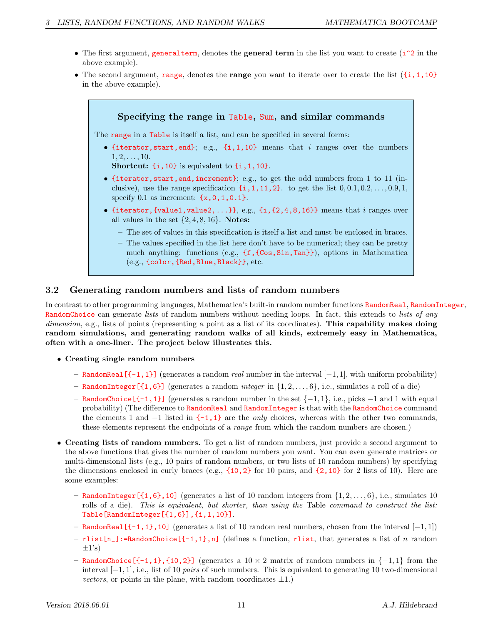- The first argument, generalterm, denotes the general term in the list you want to create (i<sup> $2$ </sup> in the above example).
- The second argument, range, denotes the range you want to iterate over to create the list  $(\{i,1,10\})$ in the above example).



#### 3.2 Generating random numbers and lists of random numbers

In contrast to other programming languages, Mathematica's built-in random number functions RandomReal, RandomInteger, RandomChoice can generate lists of random numbers without needing loops. In fact, this extends to lists of any dimension, e.g., lists of points (representing a point as a list of its coordinates). This capability makes doing random simulations, and generating random walks of all kinds, extremely easy in Mathematica, often with a one-liner. The project below illustrates this.

- Creating single random numbers
	- RandomReal  $[\{-1,1\}]$  (generates a random *real* number in the interval  $[-1,1]$ , with uniform probability)
	- RandomInteger  $[\{1,6\}]$  (generates a random *integer* in  $\{1, 2, \ldots, 6\}$ , i.e., simulates a roll of a die)
	- RandomChoice[{-1,1}] (generates a random number in the set {−1, 1}, i.e., picks −1 and 1 with equal probability) (The difference to RandomReal and RandomInteger is that with the RandomChoice command the elements 1 and  $-1$  listed in  $\{-1,1\}$  are the *only* choices, whereas with the other two commands, these elements represent the endpoints of a *range* from which the random numbers are chosen.)
- Creating lists of random numbers. To get a list of random numbers, just provide a second argument to the above functions that gives the number of random numbers you want. You can even generate matrices or multi-dimensional lists (e.g., 10 pairs of random numbers, or two lists of 10 random numbers) by specifying the dimensions enclosed in curly braces (e.g.,  $\{10, 2\}$  for 10 pairs, and  $\{2, 10\}$  for 2 lists of 10). Here are some examples:
	- RandomInteger  $[\{1,6\},10]$  (generates a list of 10 random integers from  $\{1,2,\ldots,6\}$ , i.e., simulates 10 rolls of a die). This is equivalent, but shorter, than using the Table command to construct the list: Table[RandomInteger[{1,6}],{i,1,10}].
	- RandomReal[{-1,1},10] (generates a list of 10 random real numbers, chosen from the interval [−1, 1])
	- $-$  rlist[n\_]:=RandomChoice[{-1,1},n] (defines a function, rlist, that generates a list of n random  $\pm 1$ 's)
	- RandomChoice[ $\{-1,1\}$ , $\{10,2\}$ ] (generates a  $10 \times 2$  matrix of random numbers in  $\{-1,1\}$  from the interval  $[-1, 1]$ , i.e., list of 10 pairs of such numbers. This is equivalent to generating 10 two-dimensional vectors, or points in the plane, with random coordinates  $\pm 1$ .)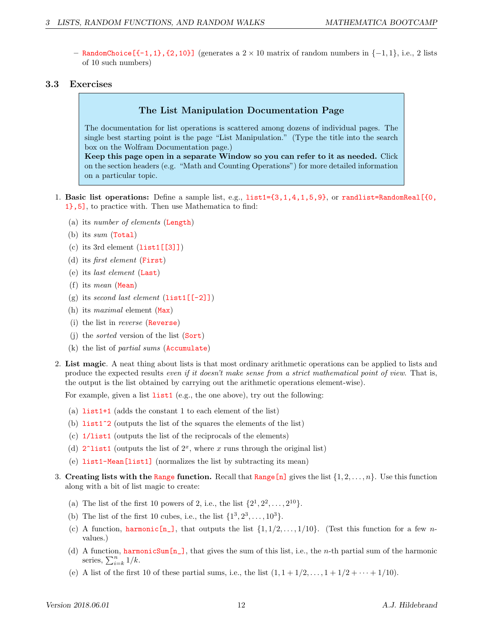– RandomChoice[{-1,1},{2,10}] (generates a 2 × 10 matrix of random numbers in {−1, 1}, i.e., 2 lists of 10 such numbers)

#### 3.3 Exercises

#### The List Manipulation Documentation Page

The documentation for list operations is scattered among dozens of individual pages. The single best starting point is the page "List Manipulation." (Type the title into the search box on the Wolfram Documentation page.)

Keep this page open in a separate Window so you can refer to it as needed. Click on the section headers (e.g. "Math and Counting Operations") for more detailed information on a particular topic.

- 1. Basic list operations: Define a sample list, e.g., list1={3,1,4,1,5,9}, or randlist=RandomReal[{0, 1},5], to practice with. Then use Mathematica to find:
	- (a) its number of elements (Length)
	- (b) its sum  $(Total)$
	- (c) its 3rd element (list1[[3]])
	- (d) its first element (First)
	- (e) its last element (Last)
	- (f) its mean (Mean)
	- (g) its second last element  $(\text{list1}[\text{-}2])$
	- (h) its *maximal* element  $(Max)$
	- (i) the list in reverse (Reverse)
	- (i) the *sorted* version of the list  $(Sort)$
	- (k) the list of partial sums (Accumulate)
- 2. List magic. A neat thing about lists is that most ordinary arithmetic operations can be applied to lists and produce the expected results even if it doesn't make sense from a strict mathematical point of view. That is, the output is the list obtained by carrying out the arithmetic operations element-wise).

For example, given a list list1 (e.g., the one above), try out the following:

- (a) list1+1 (adds the constant 1 to each element of the list)
- (b)  $list1^2$  (outputs the list of the squares the elements of the list)
- (c) 1/list1 (outputs the list of the reciprocals of the elements)
- (d)  $2$ <sup>-</sup>list1 (outputs the list of  $2<sup>x</sup>$ , where x runs through the original list)
- (e) list1-Mean[list1] (normalizes the list by subtracting its mean)
- 3. Creating lists with the Range function. Recall that Range  $[n]$  gives the list  $\{1, 2, \ldots, n\}$ . Use this function along with a bit of list magic to create:
	- (a) The list of the first 10 powers of 2, i.e., the list  $\{2^1, 2^2, ..., 2^{10}\}.$
	- (b) The list of the first 10 cubes, i.e., the list  $\{1^3, 2^3, ..., 10^3\}$ .
	- (c) A function, harmonic  $[n_$ ], that outputs the list  $\{1, 1/2, ..., 1/10\}$ . (Test this function for a few nvalues.)
	- (d) A function, harmonic Sum  $[n_$ ], that gives the sum of this list, i.e., the *n*-th partial sum of the harmonic series,  $\sum_{i=k}^{n} 1/k$ .
	- (e) A list of the first 10 of these partial sums, i.e., the list  $(1, 1 + 1/2, \ldots, 1 + 1/2 + \cdots + 1/10)$ .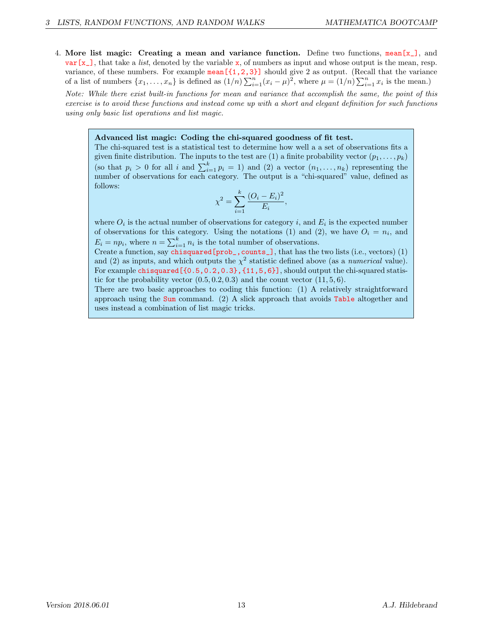4. More list magic: Creating a mean and variance function. Define two functions,  $\text{mean}[x]$ , and  $var[x_$ ], that take a *list*, denoted by the variable x, of numbers as input and whose output is the mean, resp. variance, of these numbers. For example  $\text{mean}[\{1,2,3\}]$  should give 2 as output. (Recall that the variance of a list of numbers  $\{x_1, \ldots, x_n\}$  is defined as  $(1/n) \sum_{i=1}^n (x_i - \mu)^2$ , where  $\mu = (1/n) \sum_{i=1}^n x_i$  is the mean.)

Note: While there exist built-in functions for mean and variance that accomplish the same, the point of this exercise is to avoid these functions and instead come up with a short and elegant definition for such functions using only basic list operations and list magic.

#### Advanced list magic: Coding the chi-squared goodness of fit test.

The chi-squared test is a statistical test to determine how well a a set of observations fits a given finite distribution. The inputs to the test are (1) a finite probability vector  $(p_1, \ldots, p_k)$ (so that  $p_i > 0$  for all i and  $\sum_{i=1}^k p_i = 1$ ) and (2) a vector  $(n_1, \ldots, n_k)$  representing the number of observations for each category. The output is a "chi-squared" value, defined as follows:

$$
\chi^2 = \sum_{i=1}^k \frac{(O_i - E_i)^2}{E_i},
$$

where  $O_i$  is the actual number of observations for category i, and  $E_i$  is the expected number of observations for this category. Using the notations (1) and (2), we have  $O_i = n_i$ , and  $E_i = np_i$ , where  $n = \sum_{i=1}^{k} n_i$  is the total number of observations.

Create a function, say chisquared [prob\_, counts\_], that has the two lists (i.e., vectors) (1) and (2) as inputs, and which outputs the  $\chi^2$  statistic defined above (as a *numerical* value). For example chisquared  $[0.5,0.2,0.3]$ ,  $[11,5,6]$ , should output the chi-squared statistic for the probability vector  $(0.5, 0.2, 0.3)$  and the count vector  $(11, 5, 6)$ .

There are two basic approaches to coding this function: (1) A relatively straightforward approach using the Sum command. (2) A slick approach that avoids Table altogether and uses instead a combination of list magic tricks.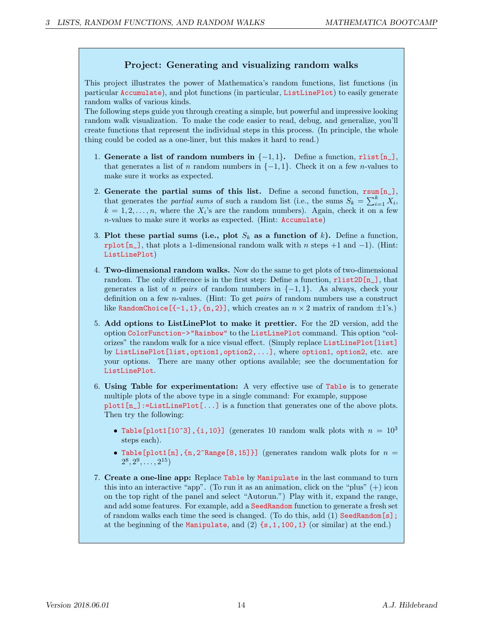### Project: Generating and visualizing random walks

This project illustrates the power of Mathematica's random functions, list functions (in particular Accumulate), and plot functions (in particular, ListLinePlot) to easily generate random walks of various kinds.

The following steps guide you through creating a simple, but powerful and impressive looking random walk visualization. To make the code easier to read, debug, and generalize, you'll create functions that represent the individual steps in this process. (In principle, the whole thing could be coded as a one-liner, but this makes it hard to read.)

- 1. Generate a list of random numbers in  $\{-1,1\}$ . Define a function, rlist[n\_], that generates a list of n random numbers in  $\{-1, 1\}$ . Check it on a few n-values to make sure it works as expected.
- 2. Generate the partial sums of this list. Define a second function,  $rsum[n_$ ], that generates the *partial sums* of such a random list (i.e., the sums  $S_k = \sum_{i=1}^k X_i$ ,  $k = 1, 2, \ldots, n$ , where the  $X_i$ 's are the random numbers). Again, check it on a few n-values to make sure it works as expected. (Hint: Accumulate)
- 3. Plot these partial sums (i.e., plot  $S_k$  as a function of k). Define a function, rplot[n\_], that plots a 1-dimensional random walk with n steps  $+1$  and  $-1$ ). (Hint: ListLinePlot)
- 4. Two-dimensional random walks. Now do the same to get plots of two-dimensional random. The only difference is in the first step: Define a function,  $\text{rlist2D}[n_$ , that generates a list of *n pairs* of random numbers in  $\{-1,1\}$ . As always, check your definition on a few n-values. (Hint: To get pairs of random numbers use a construct like RandomChoice  $[-1,1]$ ,  $[n,2]$ , which creates an  $n \times 2$  matrix of random  $\pm 1$ 's.)
- 5. Add options to ListLinePlot to make it prettier. For the 2D version, add the option ColorFunction->"Rainbow" to the ListLinePlot command. This option "colorizes" the random walk for a nice visual effect. (Simply replace ListLinePlot[list] by ListLinePlot[list,option1,option2,...], where option1, option2, etc. are your options. There are many other options available; see the documentation for ListLinePlot.
- 6. Using Table for experimentation: A very effective use of Table is to generate multiple plots of the above type in a single command: For example, suppose  $plot1[n_]:=ListLinePlot[...]$  is a function that generates one of the above plots. Then try the following:
	- Table [plot1[10^3], {i,10}] (generates 10 random walk plots with  $n = 10<sup>3</sup>$ steps each).
	- Table[plot1[n],  $\{n, 2\hat{ } \}$  (generates random walk plots for  $n =$  $2^8, 2^9, \ldots, 2^{15}$
- 7. Create a one-line app: Replace Table by Manipulate in the last command to turn this into an interactive "app". (To run it as an animation, click on the "plus"  $(+)$  icon on the top right of the panel and select "Autorun.") Play with it, expand the range, and add some features. For example, add a SeedRandom function to generate a fresh set of random walks each time the seed is changed. (To do this, add (1) SeedRandom[s]; at the beginning of the Manipulate, and  $(2)$  {s, 1, 100, 1} (or similar) at the end.)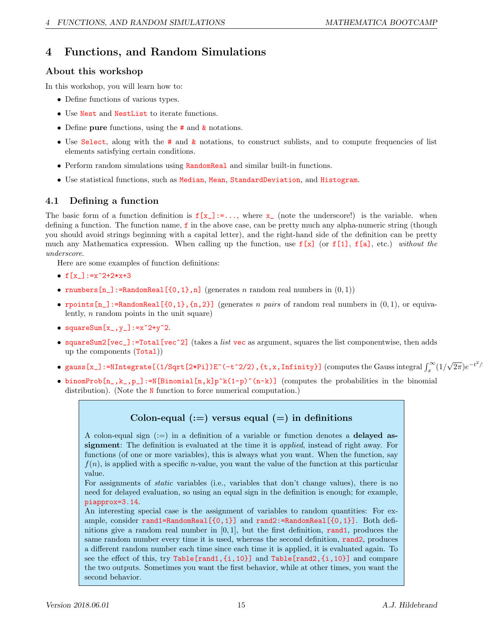## 4 Functions, and Random Simulations

### About this workshop

In this workshop, you will learn how to:

- Define functions of various types.
- Use Nest and NestList to iterate functions.
- Define pure functions, using the # and  $\boldsymbol{k}$  notations.
- Use Select, along with the # and & notations, to construct sublists, and to compute frequencies of list elements satisfying certain conditions.
- Perform random simulations using RandomReal and similar built-in functions.
- Use statistical functions, such as Median, Mean, StandardDeviation, and Histogram.

### 4.1 Defining a function

The basic form of a function definition is  $f[x_+] := \ldots$ , where  $x_-$  (note the underscore!) is the variable. when defining a function. The function name,  $f$  in the above case, can be pretty much any alpha-numeric string (though you should avoid strings beginning with a capital letter), and the right-hand side of the definition can be pretty much any Mathematica expression. When calling up the function, use  $f[x]$  (or  $f[1]$ ,  $f[a]$ , etc.) without the underscore.

Here are some examples of function definitions:

- $f[x_]:=x^2+2*x+3$
- rnumbers  $[n_$ : =RandomReal  $[0,1),n]$  (generates n random real numbers in  $(0,1)$ )
- rpoints  $[n_$ ]:=RandomReal  $[0,1]$ ,  $[n,2]$ ] (generates n pairs of random real numbers in  $(0,1)$ , or equivalently, n random points in the unit square)
- squareSum $[x_$ ,  $y_$ ]:= $x^2+y^2$ .
- squareSum2[vec\_]:=Total[vec^2] (takes a *list* vec as argument, squares the list componentwise, then adds up the components (Total))
- gauss [x\_]:=NIntegrate [(1/Sqrt [2\*Pi])E^(-t^2/2), {t,x,Infinity}] (computes the Gauss integral  $\int_x^\infty (1/$ √  $\overline{2\pi}$ ) $e^{-t^2/2}$
- binomProb $[n_-,k_-,p_-]$ :=N[Binomial[n,k]p^k(1-p)^(n-k)] (computes the probabilities in the binomial distribution). (Note the **N** function to force numerical computation.)

## Colon-equal  $(:=)$  versus equal  $(=)$  in definitions

A colon-equal sign  $(:=)$  in a definition of a variable or function denotes a **delayed as**signment: The definition is evaluated at the time it is applied, instead of right away. For functions (of one or more variables), this is always what you want. When the function, say  $f(n)$ , is applied with a specific *n*-value, you want the value of the function at this particular value.

For assignments of *static* variables (i.e., variables that don't change values), there is no need for delayed evaluation, so using an equal sign in the definition is enough; for example, piapprox=3.14.

An interesting special case is the assignment of variables to random quantities: For example, consider rand1=RandomReal[{0,1}] and rand2:=RandomReal[{0,1}]. Both definitions give a random real number in  $[0, 1]$ , but the first definition, rand1, produces the same random number every time it is used, whereas the second definition, rand2, produces a different random number each time since each time it is applied, it is evaluated again. To see the effect of this, try Table[rand1,{i,10}] and Table[rand2,{i,10}] and compare the two outputs. Sometimes you want the first behavior, while at other times, you want the second behavior.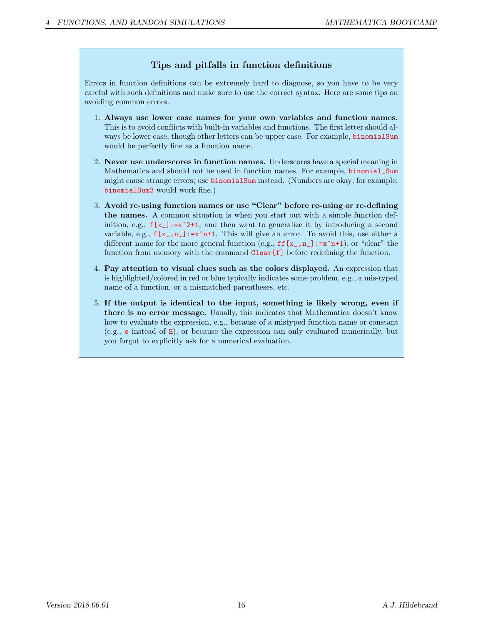### Tips and pitfalls in function definitions

Errors in function definitions can be extremely hard to diagnose, so you have to be very careful with such definitions and make sure to use the correct syntax. Here are some tips on avoiding common errors.

- 1. Always use lower case names for your own variables and function names. This is to avoid conflicts with built-in variables and functions. The first letter should always be lower case, though other letters can be upper case. For example, binomialSum would be perfectly fine as a function name.
- 2. Never use underscores in function names. Underscores have a special meaning in Mathematica and should not be used in function names. For example, binomial\_Sum might cause strange errors; use binomialSum instead. (Numbers are okay; for example, binomialSum3 would work fine.)
- 3. Avoid re-using function names or use "Clear" before re-using or re-defining the names. A common situation is when you start out with a simple function definition, e.g.,  $f[x] := x^2+1$ , and then want to generalize it by introducing a second variable, e.g.,  $f[x_-,n_+] := x^n+1$ . This will give an error. To avoid this, use either a different name for the more general function (e.g.,  $\mathbf{ff}[\mathbf{x}_{-},\mathbf{n}_{-}]:=\mathbf{x}^n+\mathbf{1}$ ), or "clear" the function from memory with the command Clear[f] before redefining the function.
- 4. Pay attention to visual clues such as the colors displayed. An expression that is highlighted/colored in red or blue typically indicates some problem, e.g., a mis-typed name of a function, or a mismatched parentheses, etc.
- 5. If the output is identical to the input, something is likely wrong, even if there is no error message. Usually, this indicates that Mathematica doesn't know how to evaluate the expression, e.g., because of a mistyped function name or constant (e.g., e instead of E), or because the expression can only evaluated numerically, but you forgot to explicitly ask for a numerical evaluation.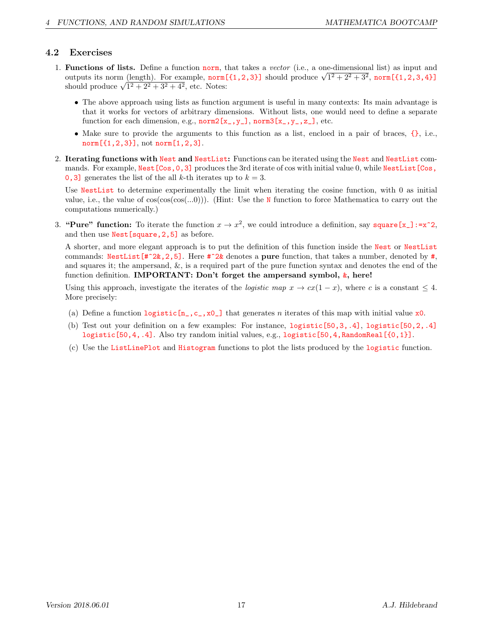#### 4.2 Exercises

- 1. Functions of lists. Define a function norm, that takes a vector (i.e., a one-dimensional list) as input and **Functions of lists.** Define a function norm, that takes a *vector* (i.e., a one-dimensional list) as input and outputs its norm (length). For example, norm [{1,2,3}] should produce  $\sqrt{1^2 + 2^2 + 3^2}$ , norm [{1,2,3,4}] outputs its norm (length). For example, **norm**<br>should produce  $\sqrt{1^2 + 2^2 + 3^2 + 4^2}$ , etc. Notes:
	- The above approach using lists as function argument is useful in many contexts: Its main advantage is that it works for vectors of arbitrary dimensions. Without lists, one would need to define a separate function for each dimension, e.g.,  $norm2[x_.,y_$ ],  $norm3[x_.,y_-,z_$ ], etc.
	- Make sure to provide the arguments to this function as a list, encloed in a pair of braces, {}, i.e., norm[{1,2,3}], not norm[1,2,3].
- 2. Iterating functions with Nest and NestList: Functions can be iterated using the Nest and NestList commands. For example, Nest [Cos, 0, 3] produces the 3rd iterate of cos with initial value 0, while NestList [Cos, 0,3] generates the list of the all k-th iterates up to  $k = 3$ .

Use NestList to determine experimentally the limit when iterating the cosine function, with 0 as initial value, i.e., the value of  $cos(cos(cos(...0)))$ . (Hint: Use the N function to force Mathematica to carry out the computations numerically.)

3. "Pure" function: To iterate the function  $x \to x^2$ , we could introduce a definition, say square [x\_]:=x^2, and then use Nest[square,2,5] as before.

A shorter, and more elegant approach is to put the definition of this function inside the Nest or NestList commands: NestList  $[4^2k, 2, 5]$ . Here  $\#2k$  denotes a pure function, that takes a number, denoted by  $\#$ , and squares it; the ampersand, &, is a required part of the pure function syntax and denotes the end of the function definition. **IMPORTANT:** Don't forget the ampersand symbol,  $\⊂>$ , here!

Using this approach, investigate the iterates of the *logistic map*  $x \to cx(1-x)$ , where c is a constant  $\leq 4$ . More precisely:

- (a) Define a function  $logistic[n, c, x0]$  that generates n iterates of this map with initial value x0.
- (b) Test out your definition on a few examples: For instance, logistic[50,3,.4], logistic[50,2,.4] logistic[50,4,.4]. Also try random initial values, e.g., logistic[50,4,RandomReal[{0,1}].
- (c) Use the ListLinePlot and Histogram functions to plot the lists produced by the logistic function.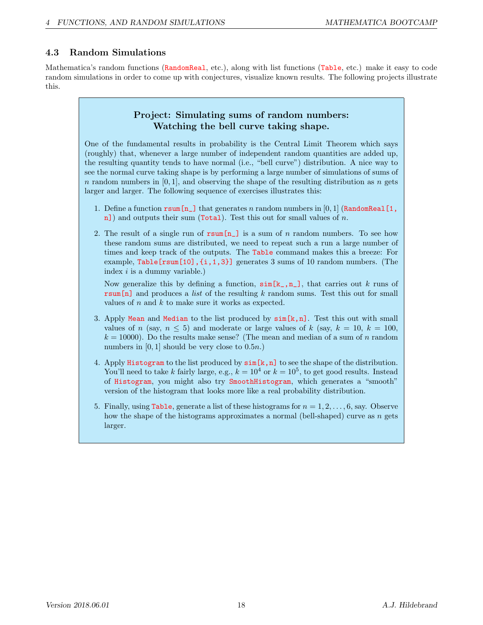### 4.3 Random Simulations

Mathematica's random functions (RandomReal, etc.), along with list functions (Table, etc.) make it easy to code random simulations in order to come up with conjectures, visualize known results. The following projects illustrate this.

#### Project: Simulating sums of random numbers: Watching the bell curve taking shape.

One of the fundamental results in probability is the Central Limit Theorem which says (roughly) that, whenever a large number of independent random quantities are added up, the resulting quantity tends to have normal (i.e., "bell curve") distribution. A nice way to see the normal curve taking shape is by performing a large number of simulations of sums of n random numbers in  $[0, 1]$ , and observing the shape of the resulting distribution as n gets larger and larger. The following sequence of exercises illustrates this:

- 1. Define a function  $\text{rsum}[n]$  that generates n random numbers in [0, 1] (RandomReal[1, n]) and outputs their sum (Total). Test this out for small values of n.
- 2. The result of a single run of  $rsum[n_1]$  is a sum of n random numbers. To see how these random sums are distributed, we need to repeat such a run a large number of times and keep track of the outputs. The Table command makes this a breeze: For example, Table[rsum[10],{i,1,3}] generates 3 sums of 10 random numbers. (The index  $i$  is a dummy variable.)

Now generalize this by defining a function,  $\sin[k_1,n_1]$ , that carries out k runs of  $\text{rsum}[n]$  and produces a *list* of the resulting k random sums. Test this out for small values of  $n$  and  $k$  to make sure it works as expected.

- 3. Apply Mean and Median to the list produced by  $\sin[k,n]$ . Test this out with small values of n (say,  $n \leq 5$ ) and moderate or large values of k (say,  $k = 10$ ,  $k = 100$ ,  $k = 10000$ . Do the results make sense? (The mean and median of a sum of n random numbers in  $[0, 1]$  should be very close to  $(0.5n)$ .
- 4. Apply Histogram to the list produced by  $\sin[k,n]$  to see the shape of the distribution. You'll need to take k fairly large, e.g.,  $k = 10^4$  or  $k = 10^5$ , to get good results. Instead of Histogram, you might also try SmoothHistogram, which generates a "smooth" version of the histogram that looks more like a real probability distribution.
- 5. Finally, using Table, generate a list of these histograms for  $n = 1, 2, \ldots, 6$ , say. Observe how the shape of the histograms approximates a normal (bell-shaped) curve as  $n$  gets larger.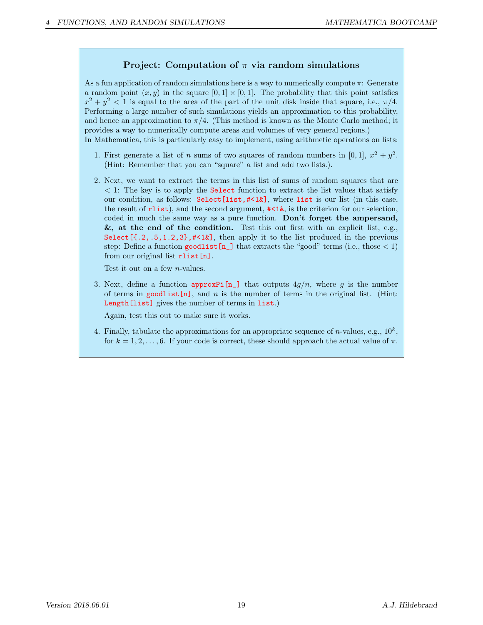#### Project: Computation of  $\pi$  via random simulations

As a fun application of random simulations here is a way to numerically compute  $\pi$ : Generate a random point  $(x, y)$  in the square  $[0, 1] \times [0, 1]$ . The probability that this point satisfies  $x^2 + y^2 < 1$  is equal to the area of the part of the unit disk inside that square, i.e.,  $\pi/4$ . Performing a large number of such simulations yields an approximation to this probability, and hence an approximation to  $\pi/4$ . (This method is known as the Monte Carlo method; it provides a way to numerically compute areas and volumes of very general regions.) In Mathematica, this is particularly easy to implement, using arithmetic operations on lists:

- 1. First generate a list of n sums of two squares of random numbers in [0,1],  $x^2 + y^2$ . (Hint: Remember that you can "square" a list and add two lists.).
- 2. Next, we want to extract the terms in this list of sums of random squares that are < 1: The key is to apply the Select function to extract the list values that satisfy our condition, as follows: Select[list,#<1&], where list is our list (in this case, the result of  $_1$ ist), and the second argument,  $\neq 1\&$ , is the criterion for our selection, coded in much the same way as a pure function. Don't forget the ampersand,  $\&$ , at the end of the condition. Test this out first with an explicit list, e.g., Select  $[ \{.2, .5, 1.2, 3\}, \# \leq 12 \}$ , then apply it to the list produced in the previous step: Define a function goodlist  $[n_+]$  that extracts the "good" terms (i.e., those  $< 1$ ) from our original list rlist [n].

Test it out on a few n-values.

3. Next, define a function approx  $\text{Pi}[\mathbf{n}_\perp]$  that outputs  $4g/n$ , where g is the number of terms in goodlist[n], and n is the number of terms in the original list. (Hint: Length[list] gives the number of terms in list.)

Again, test this out to make sure it works.

4. Finally, tabulate the approximations for an appropriate sequence of *n*-values, e.g.,  $10^k$ , for  $k = 1, 2, \ldots, 6$ . If your code is correct, these should approach the actual value of  $\pi$ .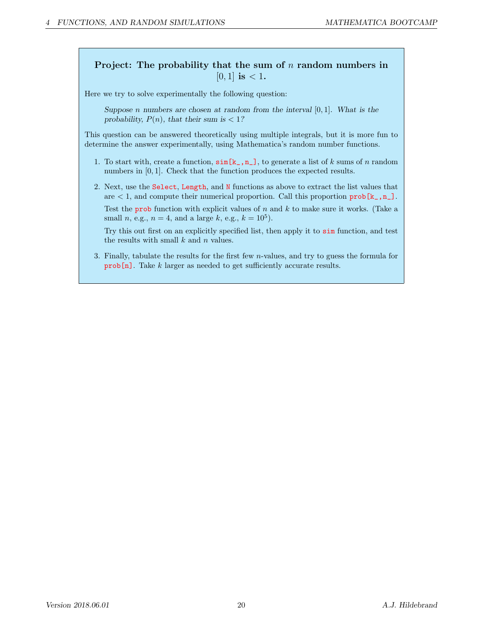### Project: The probability that the sum of  $n$  random numbers in  $[0, 1]$  is  $< 1$ .

Here we try to solve experimentally the following question:

Suppose n numbers are chosen at random from the interval  $[0, 1]$ . What is the probability,  $P(n)$ , that their sum is < 1?

This question can be answered theoretically using multiple integrals, but it is more fun to determine the answer experimentally, using Mathematica's random number functions.

- 1. To start with, create a function,  $\sin[k_1,n_1]$ , to generate a list of k sums of n random numbers in [0, 1]. Check that the function produces the expected results.
- 2. Next, use the Select, Length, and N functions as above to extract the list values that are  $\lt 1$ , and compute their numerical proportion. Call this proportion prob[ $\mathbf{k}_\text{-},\mathbf{n}_\text{-}$ ].

Test the prob function with explicit values of  $n$  and  $k$  to make sure it works. (Take a small *n*, e.g.,  $n = 4$ , and a large *k*, e.g.,  $k = 10^5$ ).

Try this out first on an explicitly specified list, then apply it to sim function, and test the results with small  $k$  and  $n$  values.

3. Finally, tabulate the results for the first few n-values, and try to guess the formula for prob[n]. Take k larger as needed to get sufficiently accurate results.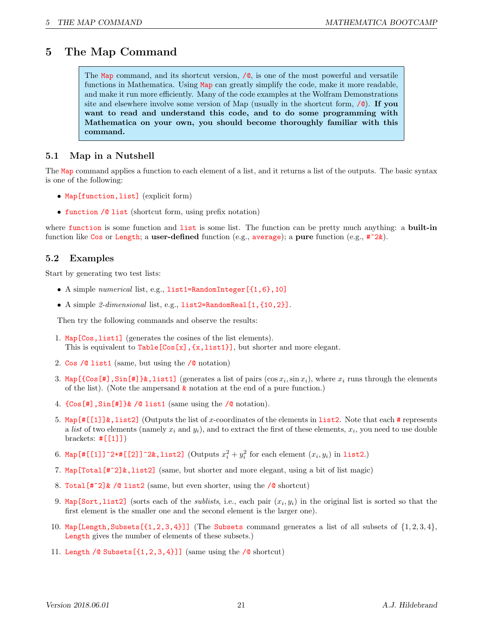## 5 The Map Command

The Map command, and its shortcut version,  $\sqrt{\phi}$ , is one of the most powerful and versatile functions in Mathematica. Using Map can greatly simplify the code, make it more readable, and make it run more efficiently. Many of the code examples at the Wolfram Demonstrations site and elsewhere involve some version of Map (usually in the shortcut form,  $\Diamond$ ). If you want to read and understand this code, and to do some programming with Mathematica on your own, you should become thoroughly familiar with this command.

### 5.1 Map in a Nutshell

The Map command applies a function to each element of a list, and it returns a list of the outputs. The basic syntax is one of the following:

- Map [function, list] (explicit form)
- function /@ list (shortcut form, using prefix notation)

where function is some function and list is some list. The function can be pretty much anything: a built-in function like Cos or Length; a user-defined function (e.g., average); a pure function (e.g.,  $\sharp$  2 $\&$ ).

### 5.2 Examples

Start by generating two test lists:

- A simple numerical list, e.g., list1=RandomInteger[{1,6},10]
- A simple  $2$ -dimensional list, e.g.,  $list2=RandomReal[1, {10, 2}]$ .

Then try the following commands and observe the results:

- 1. Map[Cos,list1] (generates the cosines of the list elements). This is equivalent to  $Table[Cos[x], {x, list1}],$  but shorter and more elegant.
- 2. Cos /@ list1 (same, but using the /@ notation)
- 3. Map  $[\cos[\#]$ , Sin  $[\#]$   $\}$ &, list1] (generates a list of pairs  $(\cos x_i, \sin x_i)$ , where  $x_i$  runs through the elements of the list). (Note the ampersand  $\&$  notation at the end of a pure function.)
- 4. {Cos[#],Sin[#]}& /@ list1 (same using the /@ notation).
- 5. Map[#[[1]]&,list2] (Outputs the list of x-coordinates of the elements in list2. Note that each # represents a list of two elements (namely  $x_i$  and  $y_i$ ), and to extract the first of these elements,  $x_i$ , you need to use double brackets:  $\#[[1]]$
- 6. Map[#[[1]]^2+#[[2]]^2&,list2] (Outputs  $x_i^2 + y_i^2$  for each element  $(x_i, y_i)$  in list2.)
- 7. Map  $\text{Total}[\#^2]\&$ , list2] (same, but shorter and more elegant, using a bit of list magic)
- 8. Total[#^2]& /@ list2 (same, but even shorter, using the /@ shortcut)
- 9. Map[Sort,list2] (sorts each of the *sublists*, i.e., each pair  $(x_i, y_i)$  in the original list is sorted so that the first element is the smaller one and the second element is the larger one).
- 10. Map [Length, Subsets  $[\{1,2,3,4\}]$ ] (The Subsets command generates a list of all subsets of  $\{1,2,3,4\}$ , Length gives the number of elements of these subsets.)
- 11. Length /@ Subsets $[\{1,2,3,4\}]$ ] (same using the /@ shortcut)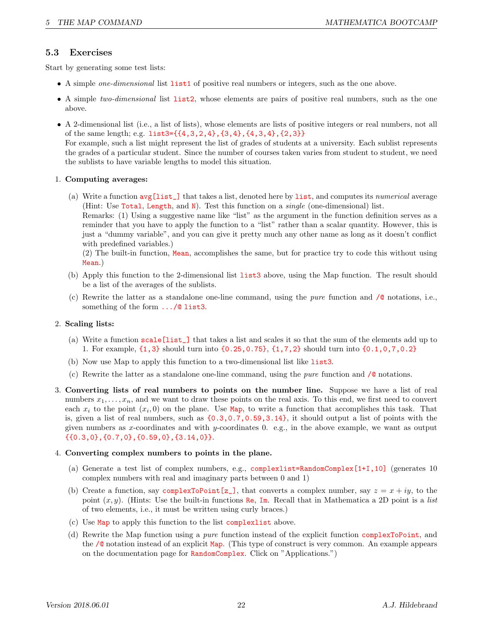### 5.3 Exercises

Start by generating some test lists:

- A simple *one-dimensional* list **list1** of positive real numbers or integers, such as the one above.
- A simple two-dimensional list **list2**, whose elements are pairs of positive real numbers, such as the one above.
- A 2-dimensional list (i.e., a list of lists), whose elements are lists of positive integers or real numbers, not all of the same length; e.g. list3={{4,3,2,4},{3,4},{4,3,4},{2,3}}

For example, such a list might represent the list of grades of students at a university. Each sublist represents the grades of a particular student. Since the number of courses taken varies from student to student, we need the sublists to have variable lengths to model this situation.

#### 1. Computing averages:

(a) Write a function avg[list\_] that takes a list, denoted here by list, and computes its numerical average (Hint: Use Total, Length, and N). Test this function on a *single* (one-dimensional) list.

Remarks: (1) Using a suggestive name like "list" as the argument in the function definition serves as a reminder that you have to apply the function to a "list" rather than a scalar quantity. However, this is just a "dummy variable", and you can give it pretty much any other name as long as it doesn't conflict with predefined variables.)

(2) The built-in function, Mean, accomplishes the same, but for practice try to code this without using Mean.)

- (b) Apply this function to the 2-dimensional list list3 above, using the Map function. The result should be a list of the averages of the sublists.
- (c) Rewrite the latter as a standalone one-line command, using the *pure* function and  $\sqrt{\phi}$  notations, i.e., something of the form .../@ list3.

#### 2. Scaling lists:

- (a) Write a function scale[list\_] that takes a list and scales it so that the sum of the elements add up to 1. For example, {1,3} should turn into {0.25,0.75}, {1,7,2} should turn into {0.1,0,7,0.2}
- (b) Now use Map to apply this function to a two-dimensional list like list3.
- (c) Rewrite the latter as a standalone one-line command, using the *pure* function and  $\sqrt{\mathbf{a}}$  notations.
- 3. Converting lists of real numbers to points on the number line. Suppose we have a list of real numbers  $x_1, \ldots, x_n$ , and we want to draw these points on the real axis. To this end, we first need to convert each  $x_i$  to the point  $(x_i, 0)$  on the plane. Use Map, to write a function that accomplishes this task. That is, given a list of real numbers, such as  $\{0.3,0.7,0.59,3.14\}$ , it should output a list of points with the given numbers as x-coordinates and with y-coordinates 0. e.g., in the above example, we want as output {{0.3,0},{0.7,0},{0.59,0},{3.14,0}}.

#### 4. Converting complex numbers to points in the plane.

- (a) Generate a test list of complex numbers, e.g., complexlist=RandomComplex[1+I,10] (generates 10 complex numbers with real and imaginary parts between 0 and 1)
- (b) Create a function, say complexToPoint [z\_], that converts a complex number, say  $z = x + iy$ , to the point  $(x, y)$ . (Hints: Use the built-in functions Re, Im. Recall that in Mathematica a 2D point is a list of two elements, i.e., it must be written using curly braces.)
- (c) Use Map to apply this function to the list complexlist above.
- (d) Rewrite the Map function using a pure function instead of the explicit function complexToPoint, and the /@ notation instead of an explicit Map. (This type of construct is very common. An example appears on the documentation page for RandomComplex. Click on "Applications.")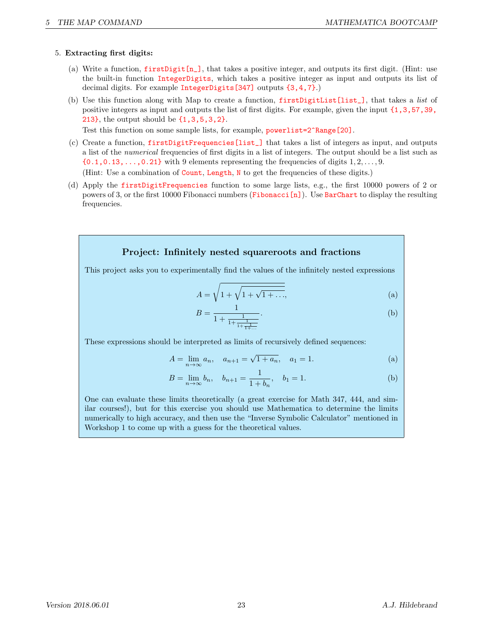#### 5. Extracting first digits:

- (a) Write a function, firstDigit[n\_], that takes a positive integer, and outputs its first digit. (Hint: use the built-in function IntegerDigits, which takes a positive integer as input and outputs its list of decimal digits. For example IntegerDigits[347] outputs {3,4,7}.)
- (b) Use this function along with Map to create a function, firstDigitList[list], that takes a list of positive integers as input and outputs the list of first digits. For example, given the input {1,3,57,39, 213}, the output should be {1,3,5,3,2}.

Test this function on some sample lists, for example, **powerlist=2^Range[20]**.

(c) Create a function, firstDigitFrequencies[list\_] that takes a list of integers as input, and outputs a list of the numerical frequencies of first digits in a list of integers. The output should be a list such as  ${0.1, 0.13, \ldots, 0.21}$  with 9 elements representing the frequencies of digits  $1, 2, \ldots, 9$ .

(Hint: Use a combination of Count, Length, N to get the frequencies of these digits.)

(d) Apply the firstDigitFrequencies function to some large lists, e.g., the first 10000 powers of 2 or powers of 3, or the first 10000 Fibonacci numbers (Fibonacci[n]). Use BarChart to display the resulting frequencies.

### Project: Infinitely nested squareroots and fractions

This project asks you to experimentally find the values of the infinitely nested expressions

$$
A = \sqrt{1 + \sqrt{1 + \sqrt{1 + \dots}}},
$$
 (a)

$$
B = \frac{1}{1 + \frac{1}{1 + \frac{1}{1 + \frac{1}{1 + \dots}}}}.\tag{b}
$$

These expressions should be interpreted as limits of recursively defined sequences:

$$
A = \lim_{n \to \infty} a_n, \quad a_{n+1} = \sqrt{1 + a_n}, \quad a_1 = 1.
$$
 (a)

$$
B = \lim_{n \to \infty} b_n, \quad b_{n+1} = \frac{1}{1 + b_n}, \quad b_1 = 1.
$$
 (b)

One can evaluate these limits theoretically (a great exercise for Math 347, 444, and similar courses!), but for this exercise you should use Mathematica to determine the limits numerically to high accuracy, and then use the "Inverse Symbolic Calculator" mentioned in Workshop 1 to come up with a guess for the theoretical values.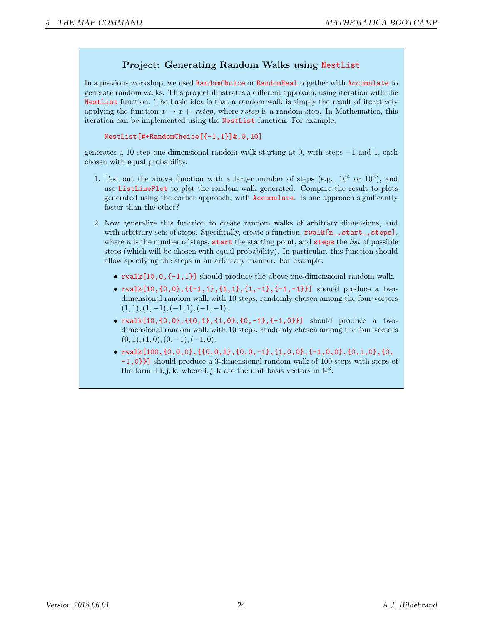### Project: Generating Random Walks using NestList

In a previous workshop, we used RandomChoice or RandomReal together with Accumulate to generate random walks. This project illustrates a different approach, using iteration with the NestList function. The basic idea is that a random walk is simply the result of iteratively applying the function  $x \to x +$  rstep, where rstep is a random step. In Mathematica, this iteration can be implemented using the NestList function. For example,

```
NestList[#+RandomChoice[{-1,1}]&,0,10]
```
generates a 10-step one-dimensional random walk starting at 0, with steps −1 and 1, each chosen with equal probability.

- 1. Test out the above function with a larger number of steps (e.g.,  $10^4$  or  $10^5$ ), and use ListLinePlot to plot the random walk generated. Compare the result to plots generated using the earlier approach, with Accumulate. Is one approach significantly faster than the other?
- 2. Now generalize this function to create random walks of arbitrary dimensions, and with arbitrary sets of steps. Specifically, create a function, rwalk $[n_{-}, start_{-}, steps]$ , where  $n$  is the number of steps, start the starting point, and steps the *list* of possible steps (which will be chosen with equal probability). In particular, this function should allow specifying the steps in an arbitrary manner. For example:
	- rwalk $[10,0,\{-1,1\}]$  should produce the above one-dimensional random walk.
	- rwalk $[10,\{0,0\},\{\{-1,1\},\{1,1\},\{1,-1\},\{-1,-1\}\}]$  should produce a twodimensional random walk with 10 steps, randomly chosen among the four vectors  $(1, 1), (1, -1), (-1, 1), (-1, -1).$
	- $rwalk[10, {0, 0}, {0, 1}, {1, 0}, {0, -1}, {-1}, {-1, 0}]$  should produce a twodimensional random walk with 10 steps, randomly chosen among the four vectors  $(0, 1), (1, 0), (0, -1), (-1, 0).$
	- $rwalk[100, {0,0,0}, {0,0,1}, {0,0,-1}, {1,0,0}, {-1}, 0]$ -1,0}}] should produce a 3-dimensional random walk of 100 steps with steps of the form  $\pm \mathbf{i}, \mathbf{j}, \mathbf{k}$ , where  $\mathbf{i}, \mathbf{j}, \mathbf{k}$  are the unit basis vectors in  $\mathbb{R}^3$ .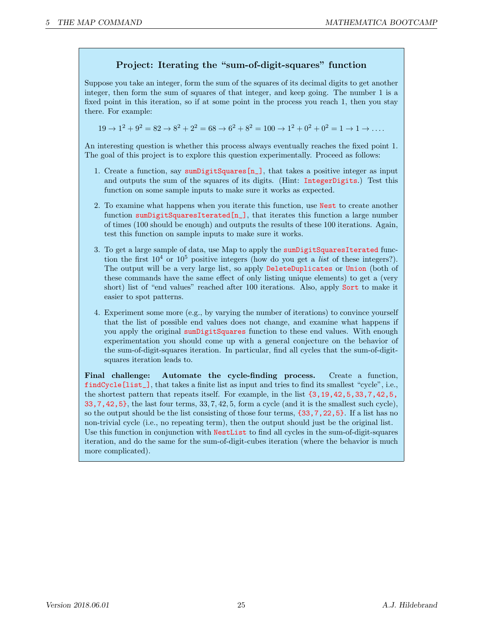### Project: Iterating the "sum-of-digit-squares" function

Suppose you take an integer, form the sum of the squares of its decimal digits to get another integer, then form the sum of squares of that integer, and keep going. The number 1 is a fixed point in this iteration, so if at some point in the process you reach 1, then you stay there. For example:

 $19 \rightarrow 1^2 + 9^2 = 82 \rightarrow 8^2 + 2^2 = 68 \rightarrow 6^2 + 8^2 = 100 \rightarrow 1^2 + 0^2 + 0^2 = 1 \rightarrow 1 \rightarrow \dots$ 

An interesting question is whether this process always eventually reaches the fixed point 1. The goal of this project is to explore this question experimentally. Proceed as follows:

- 1. Create a function, say sum DigitSquares $[n_$ ], that takes a positive integer as input and outputs the sum of the squares of its digits. (Hint: IntegerDigits.) Test this function on some sample inputs to make sure it works as expected.
- 2. To examine what happens when you iterate this function, use Nest to create another function sumDigitSquaresIterated[n\_], that iterates this function a large number of times (100 should be enough) and outputs the results of these 100 iterations. Again, test this function on sample inputs to make sure it works.
- 3. To get a large sample of data, use Map to apply the sumDigitSquaresIterated function the first  $10^4$  or  $10^5$  positive integers (how do you get a *list* of these integers?). The output will be a very large list, so apply DeleteDuplicates or Union (both of these commands have the same effect of only listing unique elements) to get a (very short) list of "end values" reached after 100 iterations. Also, apply Sort to make it easier to spot patterns.
- 4. Experiment some more (e.g., by varying the number of iterations) to convince yourself that the list of possible end values does not change, and examine what happens if you apply the original sumDigitSquares function to these end values. With enough experimentation you should come up with a general conjecture on the behavior of the sum-of-digit-squares iteration. In particular, find all cycles that the sum-of-digitsquares iteration leads to.

Final challenge: Automate the cycle-finding process. Create a function, findCycle[list\_], that takes a finite list as input and tries to find its smallest "cycle", i.e., the shortest pattern that repeats itself. For example, in the list {3,19,42,5,33,7,42,5,  $33, 7, 42, 5$ , the last four terms,  $33, 7, 42, 5$ , form a cycle (and it is the smallest such cycle), so the output should be the list consisting of those four terms, {33,7,22,5}. If a list has no non-trivial cycle (i.e., no repeating term), then the output should just be the original list. Use this function in conjunction with NestList to find all cycles in the sum-of-digit-squares iteration, and do the same for the sum-of-digit-cubes iteration (where the behavior is much more complicated).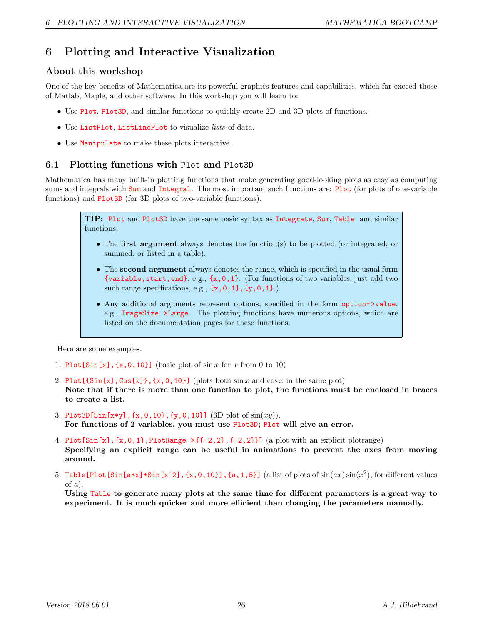## 6 Plotting and Interactive Visualization

### About this workshop

One of the key benefits of Mathematica are its powerful graphics features and capabilities, which far exceed those of Matlab, Maple, and other software. In this workshop you will learn to:

- Use Plot, Plot3D, and similar functions to quickly create 2D and 3D plots of functions.
- Use ListPlot, ListLinePlot to visualize lists of data.
- Use Manipulate to make these plots interactive.

### 6.1 Plotting functions with Plot and Plot3D

Mathematica has many built-in plotting functions that make generating good-looking plots as easy as computing sums and integrals with Sum and Integral. The most important such functions are: Plot (for plots of one-variable functions) and Plot3D (for 3D plots of two-variable functions).

TIP: Plot and Plot3D have the same basic syntax as Integrate, Sum, Table, and similar functions:

- The first argument always denotes the function(s) to be plotted (or integrated, or summed, or listed in a table).
- The second argument always denotes the range, which is specified in the usual form {variable, start, end}, e.g.,  $\{x, 0, 1\}$ . (For functions of two variables, just add two such range specifications, e.g.,  $\{x, 0, 1\}$ ,  $\{y, 0, 1\}$ .)
- Any additional arguments represent options, specified in the form option->value, e.g., ImageSize->Large. The plotting functions have numerous options, which are listed on the documentation pages for these functions.

Here are some examples.

- 1. Plot  $[\sin[x], \{x, 0, 10\}]$  (basic plot of  $\sin x$  for x from 0 to 10)
- 2. Plot  $[\sin[x], \cos[x], \{x, 0, 10\}]$  (plots both  $\sin x$  and  $\cos x$  in the same plot) Note that if there is more than one function to plot, the functions must be enclosed in braces to create a list.
- 3. Plot3D[Sin[x\*y],  $\{x, 0, 10\}$ ,  $\{y, 0, 10\}$ ] (3D plot of  $\sin(xy)$ ). For functions of 2 variables, you must use Plot3D; Plot will give an error.
- 4. Plot $[\sin[x], \{x, 0, 1\}, \text{PlotRange->{-2}, -1, -2, 2\}]$  (a plot with an explicit plotrange) Specifying an explicit range can be useful in animations to prevent the axes from moving around.
- 5. Table [Plot [Sin[a\*x]\*Sin[x^2], {x,0,10}], {a,1,5}] (a list of plots of  $\sin(ax)\sin(x^2)$ , for different values of  $a$ ).

Using Table to generate many plots at the same time for different parameters is a great way to experiment. It is much quicker and more efficient than changing the parameters manually.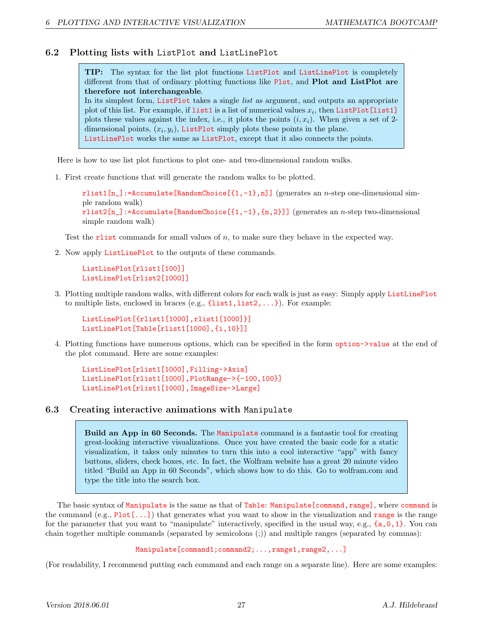#### 6.2 Plotting lists with ListPlot and ListLinePlot

TIP: The syntax for the list plot functions ListPlot and ListLinePlot is completely different from that of ordinary plotting functions like Plot, and Plot and ListPlot are therefore not interchangeable. In its simplest form, ListPlot takes a single list as argument, and outputs an appropriate plot of this list. For example, if  $list1$  is a list of numerical values  $x_i$ , then  $ListPlot[list1]$ 

plots these values against the index, i.e., it plots the points  $(i, x_i)$ . When given a set of 2dimensional points,  $(x_i, y_i)$ , ListPlot simply plots these points in the plane. ListLinePlot works the same as ListPlot, except that it also connects the points.

Here is how to use list plot functions to plot one- and two-dimensional random walks.

1. First create functions that will generate the random walks to be plotted.

 $rlist1[n_]:=\text{Accumulate}$  [RandomChoice  $[{1,-1},n]$ ] (generates an *n*-step one-dimensional simple random walk) rlist2 $[n_$ ]:=Accumulate[RandomChoice[{1,-1},{n,2}]] (generates an n-step two-dimensional simple random walk)

Test the rlist commands for small values of  $n$ , to make sure they behave in the expected way.

2. Now apply ListLinePlot to the outputs of these commands.

ListLinePlot[rlist1[100]] ListLinePlot[rlist2[1000]]

3. Plotting multiple random walks, with different colors for each walk is just as easy: Simply apply ListLinePlot to multiple lists, enclosed in braces (e.g.,  $\{list1, list2, \ldots\}$ ). For example:

ListLinePlot[{rlist1[1000],rlist1[1000]}] ListLinePlot[Table[rlist1[1000],{i,10}]]

4. Plotting functions have numerous options, which can be specified in the form option->value at the end of the plot command. Here are some examples:

ListLinePlot[rlist1[1000],Filling->Axis] ListLinePlot[rlist1[1000],PlotRange->{-100,100}] ListLinePlot[rlist1[1000],ImageSize->Large]

#### 6.3 Creating interactive animations with Manipulate

Build an App in 60 Seconds. The Manipulate command is a fantastic tool for creating great-looking interactive visualizations. Once you have created the basic code for a static visualization, it takes only minutes to turn this into a cool interactive "app" with fancy buttons, sliders, check boxes, etc. In fact, the Wolfram website has a great 20 minute video titled "Build an App in 60 Seconds", which shows how to do this. Go to wolfram.com and type the title into the search box.

The basic syntax of Manipulate is the same as that of Table: Manipulate[command,range], where command is the command  $(e.g., Plot[...])$  that generates what you want to show in the visualization and range is the range for the parameter that you want to "manipulate" interactively, specified in the usual way, e.g., {a,0,1}. You can chain together multiple commands (separated by semicolons (;)) and multiple ranges (separated by commas):

Manipulate[command1;command2;...,range1,range2,...]

(For readability, I recommend putting each command and each range on a separate line). Here are some examples: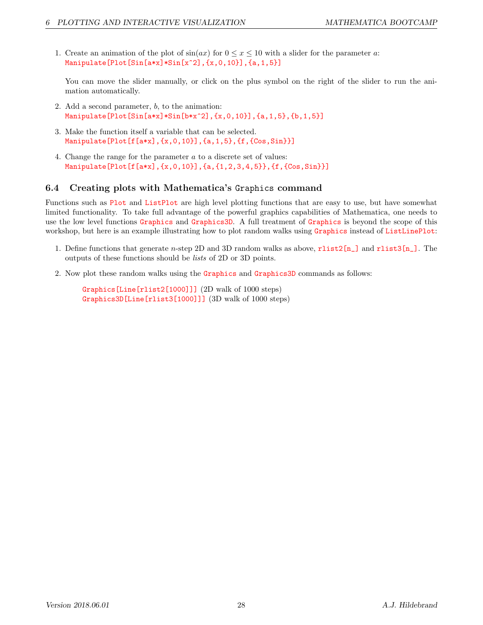1. Create an animation of the plot of  $\sin(ax)$  for  $0 \le x \le 10$  with a slider for the parameter a: Manipulate[Plot[Sin[a\*x]\*Sin[x^2],{x,0,10}],{a,1,5}]

You can move the slider manually, or click on the plus symbol on the right of the slider to run the animation automatically.

- 2. Add a second parameter, b, to the animation: Manipulate[Plot[Sin[a\*x]\*Sin[b\*x^2],{x,0,10}],{a,1,5},{b,1,5}]
- 3. Make the function itself a variable that can be selected. Manipulate  $[Plot[f[a*x], {x, 0, 10}], {a, 1, 5}, {f, {Cos, Sin}}]$
- 4. Change the range for the parameter a to a discrete set of values: Manipulate[Plot[f[a\*x], $\{x,0,10\}$ ], $\{a,\{1,2,3,4,5\}\}$ , $\{f,\{Cos,Sin\}\}$ ]

#### 6.4 Creating plots with Mathematica's Graphics command

Functions such as Plot and ListPlot are high level plotting functions that are easy to use, but have somewhat limited functionality. To take full advantage of the powerful graphics capabilities of Mathematica, one needs to use the low level functions Graphics and Graphics3D. A full treatment of Graphics is beyond the scope of this workshop, but here is an example illustrating how to plot random walks using Graphics instead of ListLinePlot:

- 1. Define functions that generate n-step 2D and 3D random walks as above, rlist2[n\_] and rlist3[n\_]. The outputs of these functions should be lists of 2D or 3D points.
- 2. Now plot these random walks using the Graphics and Graphics3D commands as follows:

Graphics[Line[rlist2[1000]]] (2D walk of 1000 steps) Graphics3D[Line[rlist3[1000]]] (3D walk of 1000 steps)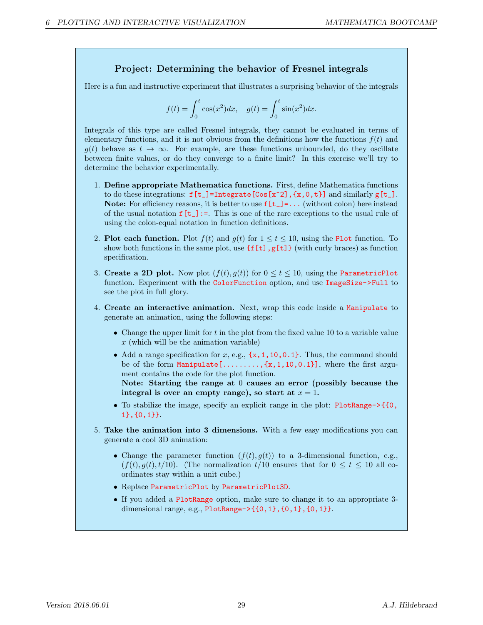#### Project: Determining the behavior of Fresnel integrals

Here is a fun and instructive experiment that illustrates a surprising behavior of the integrals

$$
f(t) = \int_0^t \cos(x^2) dx
$$
,  $g(t) = \int_0^t \sin(x^2) dx$ .

Integrals of this type are called Fresnel integrals, they cannot be evaluated in terms of elementary functions, and it is not obvious from the definitions how the functions  $f(t)$  and  $q(t)$  behave as  $t \to \infty$ . For example, are these functions unbounded, do they oscillate between finite values, or do they converge to a finite limit? In this exercise we'll try to determine the behavior experimentally.

- 1. Define appropriate Mathematica functions. First, define Mathematica functions to do these integrations:  $f[t_]=\text{Integrate}[\cos[x^2], \{x,0,t\}]$  and similarly  $g[t_+]$ . Note: For efficiency reasons, it is better to use  $f[t_+] = ...$  (without colon) here instead of the usual notation  $f[t_+] :=$ . This is one of the rare exceptions to the usual rule of using the colon-equal notation in function definitions.
- 2. Plot each function. Plot  $f(t)$  and  $g(t)$  for  $1 \le t \le 10$ , using the Plot function. To show both functions in the same plot, use  $\{f[t], g[t]\}$  (with curly braces) as function specification.
- 3. Create a 2D plot. Now plot  $(f(t), g(t))$  for  $0 \le t \le 10$ , using the ParametricPlot function. Experiment with the ColorFunction option, and use ImageSize->Full to see the plot in full glory.
- 4. Create an interactive animation. Next, wrap this code inside a Manipulate to generate an animation, using the following steps:
	- Change the upper limit for  $t$  in the plot from the fixed value 10 to a variable value  $x$  (which will be the animation variable)
	- Add a range specification for  $x$ , e.g.,  $\{x, 1, 10, 0.1\}$ . Thus, the command should be of the form Manipulate  $[\ldots, \ldots, \{x, 1, 10, 0.1\}]$ , where the first argument contains the code for the plot function.

Note: Starting the range at 0 causes an error (possibly because the integral is over an empty range), so start at  $x = 1$ .

- To stabilize the image, specify an explicit range in the plot: PlotRange->{{0, 1},{0,1}}.
- 5. Take the animation into 3 dimensions. With a few easy modifications you can generate a cool 3D animation:
	- Change the parameter function  $(f(t), g(t))$  to a 3-dimensional function, e.g.,  $(f(t), g(t), t/10)$ . (The normalization  $t/10$  ensures that for  $0 \leq t \leq 10$  all coordinates stay within a unit cube.)
	- Replace ParametricPlot by ParametricPlot3D.
	- If you added a PlotRange option, make sure to change it to an appropriate 3 dimensional range, e.g., PlotRange->{{0,1},{0,1},{0,1}}.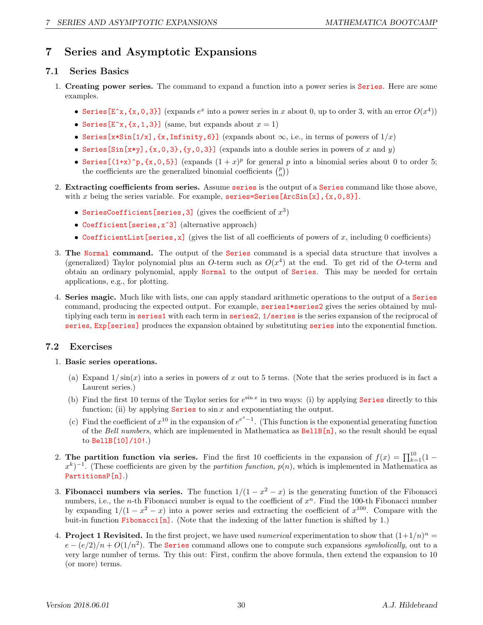## 7 Series and Asymptotic Expansions

#### 7.1 Series Basics

- 1. Creating power series. The command to expand a function into a power series is Series. Here are some examples.
	- Series  $[\mathbf{E}^{\cdot} \mathbf{x}, \{\mathbf{x},0,3\}]$  (expands  $e^x$  into a power series in x about 0, up to order 3, with an error  $O(x^4)$ )
	- Series  $[E^x, \{x,1,3\}]$  (same, but expands about  $x = 1$ )
	- Series [x\*Sin[1/x], {x, Infinity, 6}] (expands about  $\infty$ , i.e., in terms of powers of  $1/x$ )
	- Series [Sin[x\*y],  $\{x,0,3\}$ ,  $\{y,0,3\}$ ] (expands into a double series in powers of x and y)
	- Series  $[(1+x)^p, \{x,0,5\}]$  (expands  $(1+x)^p$  for general p into a binomial series about 0 to order 5; the coefficients are the generalized binomial coefficients  $\binom{p}{n}$
- 2. Extracting coefficients from series. Assume series is the output of a Series command like those above, with x being the series variable. For example, series=Series[ArcSin[x],  $\{x, 0, 8\}$ ].
	- SeriesCoefficient [series, 3] (gives the coefficient of  $x^3$ )
	- Coefficient [series, x<sup>od 2</sup>] (alternative approach)
	- CoefficientList [series, x] (gives the list of all coefficients of powers of x, including 0 coefficients)
- 3. The Normal command. The output of the Series command is a special data structure that involves a (generalized) Taylor polynomial plus an O-term such as  $O(x^4)$  at the end. To get rid of the O-term and obtain an ordinary polynomial, apply Normal to the output of Series. This may be needed for certain applications, e.g., for plotting.
- 4. Series magic. Much like with lists, one can apply standard arithmetic operations to the output of a Series command, producing the expected output. For example, series1\*series2 gives the series obtained by multiplying each term in series1 with each term in series2, 1/series is the series expansion of the reciprocal of series, Exp[series] produces the expansion obtained by substituting series into the exponential function.

### 7.2 Exercises

#### 1. Basic series operations.

- (a) Expand  $1/\sin(x)$  into a series in powers of x out to 5 terms. (Note that the series produced is in fact a Laurent series.)
- (b) Find the first 10 terms of the Taylor series for  $e^{\sin x}$  in two ways: (i) by applying **Series** directly to this function; (ii) by applying **Series** to  $\sin x$  and exponentiating the output.
- (c) Find the coefficient of  $x^{10}$  in the expansion of  $e^{e^x-1}$ . (This function is the exponential generating function of the Bell numbers, which are implemented in Mathematica as  $BellB[n]$ , so the result should be equal to BellB[10]/10!.)
- 2. The partition function via series. Find the first 10 coefficients in the expansion of  $f(x) = \prod_{k=1}^{10} (1 (x^k)^{-1}$ . (These coefficients are given by the *partition function*,  $p(n)$ , which is implemented in Mathematica as PartitionsP[n].)
- 3. Fibonacci numbers via series. The function  $1/(1-x^2-x)$  is the generating function of the Fibonacci numbers, i.e., the *n*-th Fibonacci number is equal to the coefficient of  $x^n$ . Find the 100-th Fibonacci number by expanding  $1/(1-x^2-x)$  into a power series and extracting the coefficient of  $x^{100}$ . Compare with the buit-in function Fibonacci $[n]$ . (Note that the indexing of the latter function is shifted by 1.)
- 4. Project 1 Revisited. In the first project, we have used *numerical* experimentation to show that  $(1+1/n)^n =$  $e - (e/2)/n + O(1/n^2)$ . The Series command allows one to compute such expansions symbolically, out to a very large number of terms. Try this out: First, confirm the above formula, then extend the expansion to 10 (or more) terms.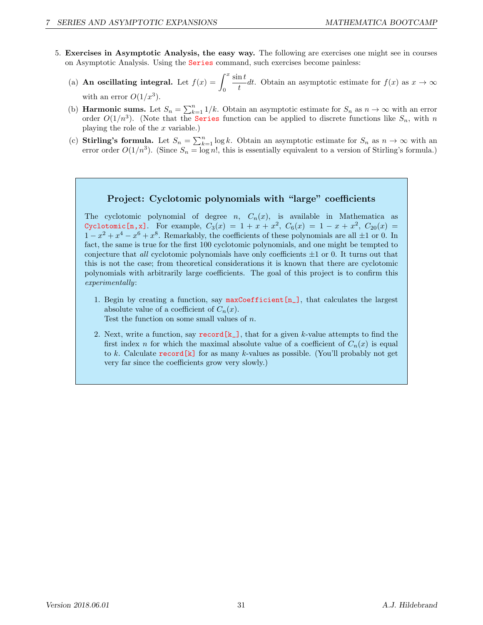- 5. Exercises in Asymptotic Analysis, the easy way. The following are exercises one might see in courses on Asymptotic Analysis. Using the Series command, such exercises become painless:
	- (a) An oscillating integral. Let  $f(x) = \int^x$ 0  $\sin t$  $\frac{dv}{dt}$ dt. Obtain an asymptotic estimate for  $f(x)$  as  $x \to \infty$ with an error  $O(1/x^3)$ .
	- (b) **Harmonic sums.** Let  $S_n = \sum_{k=1}^n 1/k$ . Obtain an asymptotic estimate for  $S_n$  as  $n \to \infty$  with an error order  $O(1/n^3)$ . (Note that the **Series** function can be applied to discrete functions like  $S_n$ , with n playing the role of the  $x$  variable.)
	- (c) Stirling's formula. Let  $S_n = \sum_{k=1}^n \log k$ . Obtain an asymptotic estimate for  $S_n$  as  $n \to \infty$  with an error order  $O(1/n^3)$ . (Since  $S_n = \log n!$ , this is essentially equivalent to a version of Stirling's formula.)

#### Project: Cyclotomic polynomials with "large" coefficients

The cyclotomic polynomial of degree  $n$ ,  $C_n(x)$ , is available in Mathematica as Cyclotomic [n,x]. For example,  $C_3(x) = 1 + x + x^2$ ,  $C_6(x) = 1 - x + x^2$ ,  $C_{20}(x) =$  $1-x^2+x^4-x^6+x^8$ . Remarkably, the coefficients of these polynomials are all  $\pm 1$  or 0. In fact, the same is true for the first 100 cyclotomic polynomials, and one might be tempted to conjecture that *all* cyclotomic polynomials have only coefficients  $\pm 1$  or 0. It turns out that this is not the case; from theoretical considerations it is known that there are cyclotomic polynomials with arbitrarily large coefficients. The goal of this project is to confirm this experimentally:

- 1. Begin by creating a function, say  $maxCoefficient[n_$ ], that calculates the largest absolute value of a coefficient of  $C_n(x)$ . Test the function on some small values of n.
- 2. Next, write a function, say  $\mathbf{r} = \mathbf{r} \cdot \mathbf{r}$ , that for a given k-value attempts to find the first index n for which the maximal absolute value of a coefficient of  $C_n(x)$  is equal to  $k$ . Calculate  $\mathsf{record}[k]$  for as many  $k$ -values as possible. (You'll probably not get very far since the coefficients grow very slowly.)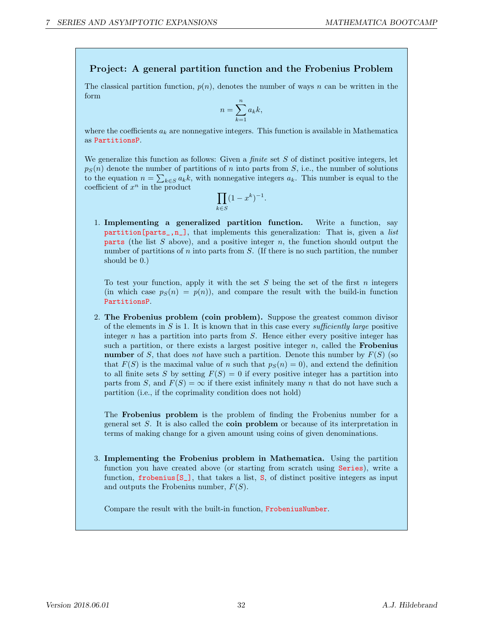#### Project: A general partition function and the Frobenius Problem

The classical partition function,  $p(n)$ , denotes the number of ways n can be written in the form

$$
n = \sum_{k=1}^{n} a_k k,
$$

where the coefficients  $a_k$  are nonnegative integers. This function is available in Mathematica as PartitionsP.

We generalize this function as follows: Given a *finite* set  $S$  of distinct positive integers, let  $p_S(n)$  denote the number of partitions of n into parts from S, i.e., the number of solutions to the equation  $n = \sum_{k \in S} a_k k$ , with nonnegative integers  $a_k$ . This number is equal to the coefficient of  $x^n$  in the product

$$
\prod_{k \in S} (1 - x^k)^{-1}.
$$

1. Implementing a generalized partition function. Write a function, say  $partition[parts_,n_,$ , that implements this generalization: That is, given a list **parts** (the list  $S$  above), and a positive integer  $n$ , the function should output the number of partitions of  $n$  into parts from  $S$ . (If there is no such partition, the number should be 0.)

To test your function, apply it with the set  $S$  being the set of the first  $n$  integers (in which case  $p_S(n) = p(n)$ ), and compare the result with the build-in function PartitionsP.

2. The Frobenius problem (coin problem). Suppose the greatest common divisor of the elements in S is 1. It is known that in this case every sufficiently large positive integer  $n$  has a partition into parts from  $S$ . Hence either every positive integer has such a partition, or there exists a largest positive integer  $n$ , called the **Frobenius** number of S, that does not have such a partition. Denote this number by  $F(S)$  (so that  $F(S)$  is the maximal value of n such that  $p_S(n) = 0$ , and extend the definition to all finite sets S by setting  $F(S) = 0$  if every positive integer has a partition into parts from S, and  $F(S) = \infty$  if there exist infinitely many n that do not have such a partition (i.e., if the coprimality condition does not hold)

The Frobenius problem is the problem of finding the Frobenius number for a general set S. It is also called the coin problem or because of its interpretation in terms of making change for a given amount using coins of given denominations.

3. Implementing the Frobenius problem in Mathematica. Using the partition function you have created above (or starting from scratch using Series), write a function,  $f$ robenius $[S_$ ], that takes a list,  $S$ , of distinct positive integers as input and outputs the Frobenius number,  $F(S)$ .

Compare the result with the built-in function, FrobeniusNumber.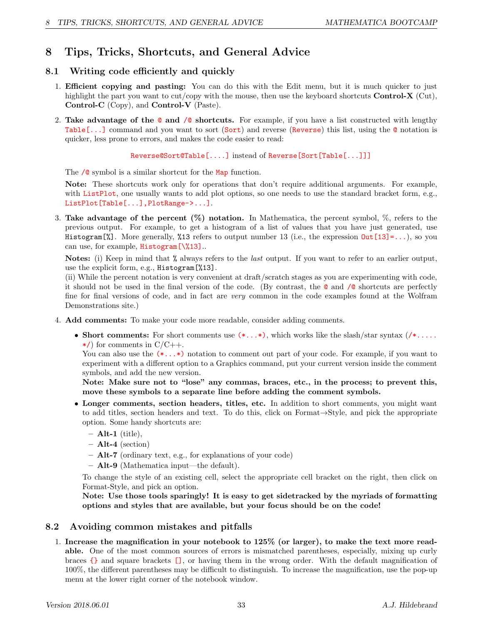## 8 Tips, Tricks, Shortcuts, and General Advice

### 8.1 Writing code efficiently and quickly

- 1. Efficient copying and pasting: You can do this with the Edit menu, but it is much quicker to just highlight the part you want to  $cut/copy$  with the mouse, then use the keyboard shortcuts **Control-X** (Cut), Control-C (Copy), and Control-V (Paste).
- 2. Take advantage of the  $\circ$  and  $\circ$  shortcuts. For example, if you have a list constructed with lengthy Table[...] command and you want to sort (Sort) and reverse (Reverse) this list, using the @ notation is quicker, less prone to errors, and makes the code easier to read:

Reverse@Sort@Table[....] instead of Reverse[Sort[Table[...]]]

The  $\sqrt{\circ}$  symbol is a similar shortcut for the Map function.

Note: These shortcuts work only for operations that don't require additional arguments. For example, with ListPlot, one usually wants to add plot options, so one needs to use the standard bracket form, e.g., ListPlot[Table[...],PlotRange->...].

3. Take advantage of the percent  $(\%)$  notation. In Mathematica, the percent symbol,  $\%$ , refers to the previous output. For example, to get a histogram of a list of values that you have just generated, use Histogram<sup>[%]</sup>. More generally, %13 refers to output number 13 (i.e., the expression  $Out[13] = ...$ ), so you can use, for example, Histogram<sup>[\%13]..</sup>

Notes: (i) Keep in mind that % always refers to the *last* output. If you want to refer to an earlier output, use the explicit form, e.g., Histogram[%13].

(ii) While the percent notation is very convenient at draft/scratch stages as you are experimenting with code, it should not be used in the final version of the code. (By contrast, the @ and /@ shortcuts are perfectly fine for final versions of code, and in fact are very common in the code examples found at the Wolfram Demonstrations site.)

- 4. Add comments: To make your code more readable, consider adding comments.
	- Short comments: For short comments use  $(*\ldots*)$ , which works like the slash/star syntax  $(\ell^* \ldots)$  $\star$ /) for comments in C/C++.

You can also use the  $(*,..*)$  notation to comment out part of your code. For example, if you want to experiment with a different option to a Graphics command, put your current version inside the comment symbols, and add the new version.

Note: Make sure not to "lose" any commas, braces, etc., in the process; to prevent this, move these symbols to a separate line before adding the comment symbols.

- Longer comments, section headers, titles, etc. In addition to short comments, you might want to add titles, section headers and text. To do this, click on Format→Style, and pick the appropriate option. Some handy shortcuts are:
	- $-$  Alt-1 (title),
	- $-$  Alt-4 (section)
	- Alt-7 (ordinary text, e.g., for explanations of your code)
	- Alt-9 (Mathematica input—the default).

To change the style of an existing cell, select the appropriate cell bracket on the right, then click on Format-Style, and pick an option.

Note: Use those tools sparingly! It is easy to get sidetracked by the myriads of formatting options and styles that are available, but your focus should be on the code!

#### 8.2 Avoiding common mistakes and pitfalls

1. Increase the magnification in your notebook to 125% (or larger), to make the text more readable. One of the most common sources of errors is mismatched parentheses, especially, mixing up curly braces {} and square brackets [], or having them in the wrong order. With the default magnification of 100%, the different parentheses may be difficult to distinguish. To increase the magnification, use the pop-up menu at the lower right corner of the notebook window.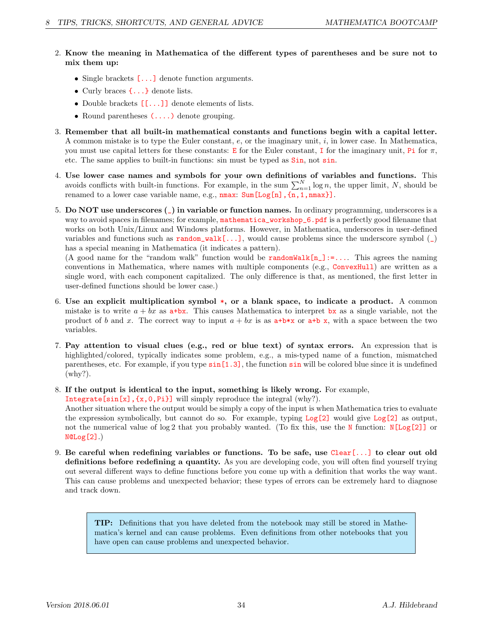- 2. Know the meaning in Mathematica of the different types of parentheses and be sure not to mix them up:
	- Single brackets  $[\dots]$  denote function arguments.
	- Curly braces  $\{\ldots\}$  denote lists.
	- Double brackets  $[\ldots]$  denote elements of lists.
	- Round parentheses  $(\ldots)$  denote grouping.
- 3. Remember that all built-in mathematical constants and functions begin with a capital letter. A common mistake is to type the Euler constant,  $e$ , or the imaginary unit,  $i$ , in lower case. In Mathematica, you must use capital letters for these constants: E for the Euler constant, I for the imaginary unit, Pi for  $\pi$ , etc. The same applies to built-in functions: sin must be typed as Sin, not sin.
- 4. Use lower case names and symbols for your own definitions of variables and functions. This avoids conflicts with built-in functions. For example, in the sum  $\sum_{n=1}^{N} \log n$ , the upper limit, N, should be renamed to a lower case variable name, e.g.,  $nmax$ : Sum [Log[n], {n, 1, nmax}].
- 5. Do NOT use underscores (\_) in variable or function names. In ordinary programming, underscores is a way to avoid spaces in filenames; for example, mathematica\_workshop\_6.pdf is a perfectly good filename that works on both Unix/Linux and Windows platforms. However, in Mathematica, underscores in user-defined variables and functions such as  $\text{random\_walk}[...]$ , would cause problems since the underscore symbol  $(\_)$ has a special meaning in Mathematica (it indicates a pattern).

(A good name for the "random walk" function would be  $\text{randomWalk}[n]:=\dots$  This agrees the naming conventions in Mathematica, where names with multiple components (e.g., ConvexHull) are written as a single word, with each component capitalized. The only difference is that, as mentioned, the first letter in user-defined functions should be lower case.)

- 6. Use an explicit multiplication symbol \*, or a blank space, to indicate a product. A common mistake is to write  $a + bx$  as  $a + bx$ . This causes Mathematica to interpret bx as a single variable, not the product of b and x. The correct way to input  $a + bx$  is as  $a+b*x$  or  $a+b x$ , with a space between the two variables.
- 7. Pay attention to visual clues (e.g., red or blue text) of syntax errors. An expression that is highlighted/colored, typically indicates some problem, e.g., a mis-typed name of a function, mismatched parentheses, etc. For example, if you type sin[1.3], the function sin will be colored blue since it is undefined (why?).
- 8. If the output is identical to the input, something is likely wrong. For example,

Integrate[sin[x],{x,0,Pi}] will simply reproduce the integral (why?).

Another situation where the output would be simply a copy of the input is when Mathematica tries to evaluate the expression symbolically, but cannot do so. For example, typing  $Log[2]$  would give  $Log[2]$  as output, not the numerical value of log 2 that you probably wanted. (To fix this, use the N function: N[Log[2]] or N@Log[2].)

9. Be careful when redefining variables or functions. To be safe, use  $Clear[...]$  to clear out old definitions before redefining a quantity. As you are developing code, you will often find yourself trying out several different ways to define functions before you come up with a definition that works the way want. This can cause problems and unexpected behavior; these types of errors can be extremely hard to diagnose and track down.

TIP: Definitions that you have deleted from the notebook may still be stored in Mathematica's kernel and can cause problems. Even definitions from other notebooks that you have open can cause problems and unexpected behavior.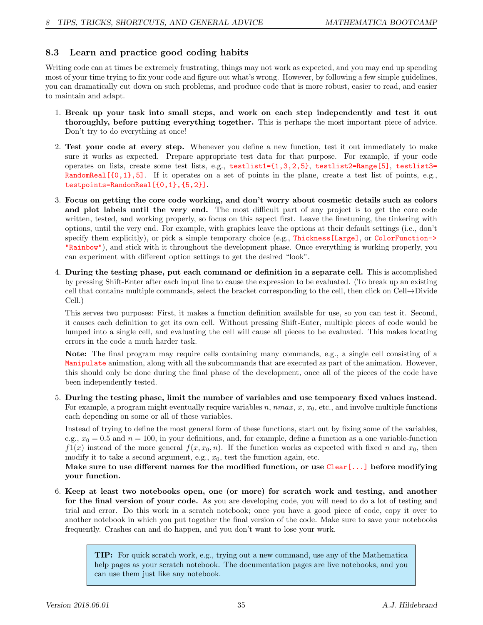### 8.3 Learn and practice good coding habits

Writing code can at times be extremely frustrating, things may not work as expected, and you may end up spending most of your time trying to fix your code and figure out what's wrong. However, by following a few simple guidelines, you can dramatically cut down on such problems, and produce code that is more robust, easier to read, and easier to maintain and adapt.

- 1. Break up your task into small steps, and work on each step independently and test it out thoroughly, before putting everything together. This is perhaps the most important piece of advice. Don't try to do everything at once!
- 2. Test your code at every step. Whenever you define a new function, test it out immediately to make sure it works as expected. Prepare appropriate test data for that purpose. For example, if your code operates on lists, create some test lists, e.g., testlist1={1,3,2,5}, testlist2=Range[5], testlist3= RandomReal  $[{0,1},5]$ . If it operates on a set of points in the plane, create a test list of points, e.g., testpoints=RandomReal[{0,1},{5,2}].
- 3. Focus on getting the core code working, and don't worry about cosmetic details such as colors and plot labels until the very end. The most difficult part of any project is to get the core code written, tested, and working properly, so focus on this aspect first. Leave the finetuning, the tinkering with options, until the very end. For example, with graphics leave the options at their default settings (i.e., don't specify them explicitly), or pick a simple temporary choice (e.g., Thickness[Large], or ColorFunction-> "Rainbow"), and stick with it throughout the development phase. Once everything is working properly, you can experiment with different option settings to get the desired "look".
- 4. During the testing phase, put each command or definition in a separate cell. This is accomplished by pressing Shift-Enter after each input line to cause the expression to be evaluated. (To break up an existing cell that contains multiple commands, select the bracket corresponding to the cell, then click on Cell→Divide Cell.)

This serves two purposes: First, it makes a function definition available for use, so you can test it. Second, it causes each definition to get its own cell. Without pressing Shift-Enter, multiple pieces of code would be lumped into a single cell, and evaluating the cell will cause all pieces to be evaluated. This makes locating errors in the code a much harder task.

Note: The final program may require cells containing many commands, e.g., a single cell consisting of a Manipulate animation, along with all the subcommands that are executed as part of the animation. However, this should only be done during the final phase of the development, once all of the pieces of the code have been independently tested.

5. During the testing phase, limit the number of variables and use temporary fixed values instead. For example, a program might eventually require variables  $n, \, nmax, x, x_0$ , etc., and involve multiple functions each depending on some or all of these variables.

Instead of trying to define the most general form of these functions, start out by fixing some of the variables, e.g.,  $x_0 = 0.5$  and  $n = 100$ , in your definitions, and, for example, define a function as a one variable-function  $f(x)$  instead of the more general  $f(x, x_0, n)$ . If the function works as expected with fixed n and  $x_0$ , then modify it to take a second argument, e.g.,  $x_0$ , test the function again, etc.

Make sure to use different names for the modified function, or use Clear[...] before modifying your function.

6. Keep at least two notebooks open, one (or more) for scratch work and testing, and another for the final version of your code. As you are developing code, you will need to do a lot of testing and trial and error. Do this work in a scratch notebook; once you have a good piece of code, copy it over to another notebook in which you put together the final version of the code. Make sure to save your notebooks frequently. Crashes can and do happen, and you don't want to lose your work.

> TIP: For quick scratch work, e.g., trying out a new command, use any of the Mathematica help pages as your scratch notebook. The documentation pages are live notebooks, and you can use them just like any notebook.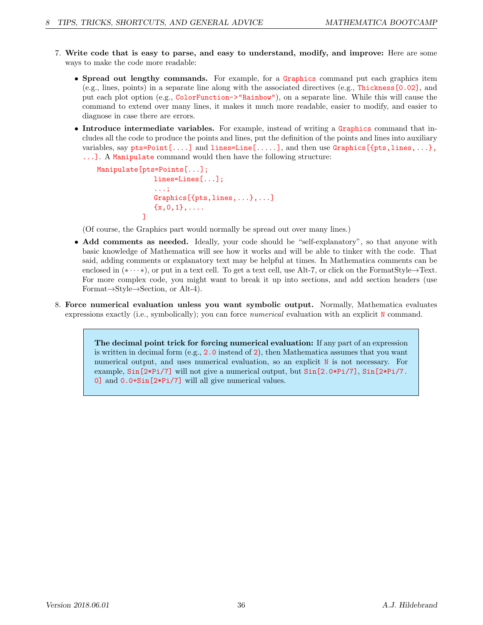- 7. Write code that is easy to parse, and easy to understand, modify, and improve: Here are some ways to make the code more readable:
	- Spread out lengthy commands. For example, for a Graphics command put each graphics item (e.g., lines, points) in a separate line along with the associated directives (e.g., Thickness[0.02], and put each plot option (e.g., ColorFunction->"Rainbow"), on a separate line. While this will cause the command to extend over many lines, it makes it much more readable, easier to modify, and easier to diagnose in case there are errors.
	- Introduce intermediate variables. For example, instead of writing a Graphics command that includes all the code to produce the points and lines, put the definition of the points and lines into auxiliary variables, say  $pts = Point[...]$  and  $lines = Line[...]$ , and then use  $Graphics[pts, lines,...],$ ...]. A Manipulate command would then have the following structure:

```
Manipulate[pts=Points[...];
  lines=Lines[...];
   ...;
   Graphics[{pts,lines,...},...]
   {x, 0, 1}, \ldots]
```
(Of course, the Graphics part would normally be spread out over many lines.)

- Add comments as needed. Ideally, your code should be "self-explanatory", so that anyone with basic knowledge of Mathematica will see how it works and will be able to tinker with the code. That said, adding comments or explanatory text may be helpful at times. In Mathematica comments can be enclosed in  $(* \cdots *)$ , or put in a text cell. To get a text cell, use Alt-7, or click on the FormatStyle $\rightarrow$ Text. For more complex code, you might want to break it up into sections, and add section headers (use Format→Style→Section, or Alt-4).
- 8. Force numerical evaluation unless you want symbolic output. Normally, Mathematica evaluates expressions exactly (i.e., symbolically); you can force *numerical* evaluation with an explicit N command.

The decimal point trick for forcing numerical evaluation: If any part of an expression is written in decimal form (e.g., 2.0 instead of 2), then Mathematica assumes that you want numerical output, and uses numerical evaluation, so an explicit N is not necessary. For example, Sin[2\*Pi/7] will not give a numerical output, but Sin[2.0\*Pi/7], Sin[2\*Pi/7. 0] and 0.0+Sin[2\*Pi/7] will all give numerical values.